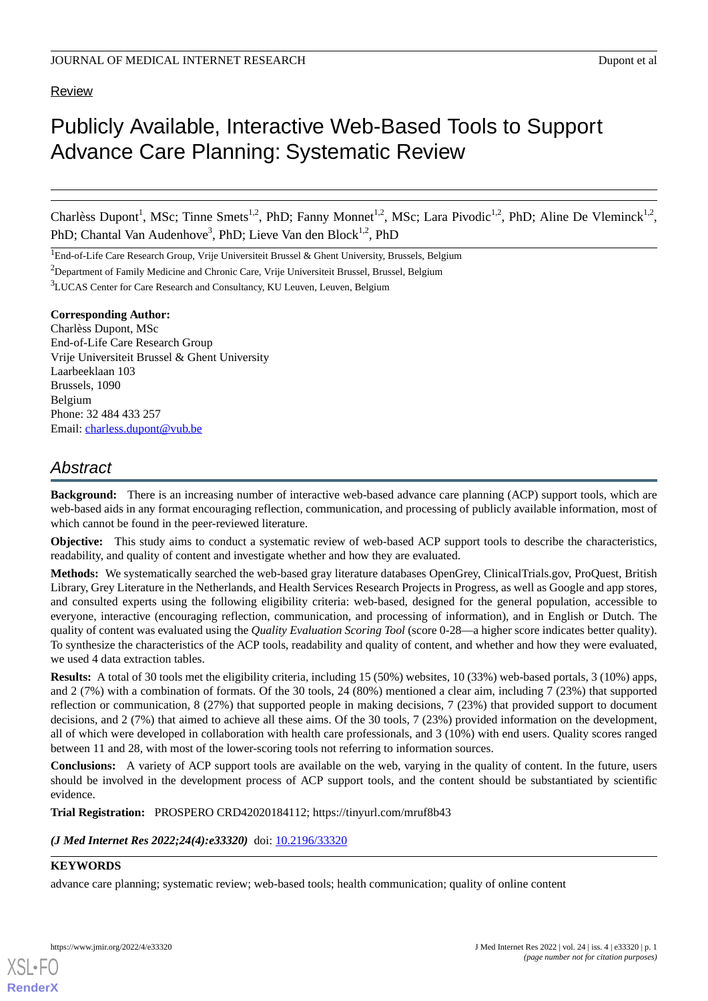# **Review**

# Publicly Available, Interactive Web-Based Tools to Support Advance Care Planning: Systematic Review

Charlèss Dupont<sup>1</sup>, MSc; Tinne Smets<sup>1,2</sup>, PhD; Fanny Monnet<sup>1,2</sup>, MSc; Lara Pivodic<sup>1,2</sup>, PhD; Aline De Vleminck<sup>1,2</sup>, PhD; Chantal Van Audenhove<sup>3</sup>, PhD; Lieve Van den Block<sup>1,2</sup>, PhD

<sup>1</sup>End-of-Life Care Research Group, Vrije Universiteit Brussel & Ghent University, Brussels, Belgium

<sup>2</sup>Department of Family Medicine and Chronic Care, Vrije Universiteit Brussel, Brussel, Belgium

<sup>3</sup>LUCAS Center for Care Research and Consultancy, KU Leuven, Leuven, Belgium

#### **Corresponding Author:**

Charlèss Dupont, MSc End-of-Life Care Research Group Vrije Universiteit Brussel & Ghent University Laarbeeklaan 103 Brussels, 1090 Belgium Phone: 32 484 433 257 Email: [charless.dupont@vub.be](mailto:charless.dupont@vub.be)

# *Abstract*

**Background:** There is an increasing number of interactive web-based advance care planning (ACP) support tools, which are web-based aids in any format encouraging reflection, communication, and processing of publicly available information, most of which cannot be found in the peer-reviewed literature.

**Objective:** This study aims to conduct a systematic review of web-based ACP support tools to describe the characteristics, readability, and quality of content and investigate whether and how they are evaluated.

**Methods:** We systematically searched the web-based gray literature databases OpenGrey, ClinicalTrials.gov, ProQuest, British Library, Grey Literature in the Netherlands, and Health Services Research Projects in Progress, as well as Google and app stores, and consulted experts using the following eligibility criteria: web-based, designed for the general population, accessible to everyone, interactive (encouraging reflection, communication, and processing of information), and in English or Dutch. The quality of content was evaluated using the *Quality Evaluation Scoring Tool* (score 0-28—a higher score indicates better quality). To synthesize the characteristics of the ACP tools, readability and quality of content, and whether and how they were evaluated, we used 4 data extraction tables.

**Results:** A total of 30 tools met the eligibility criteria, including 15 (50%) websites, 10 (33%) web-based portals, 3 (10%) apps, and 2 (7%) with a combination of formats. Of the 30 tools, 24 (80%) mentioned a clear aim, including 7 (23%) that supported reflection or communication, 8 (27%) that supported people in making decisions, 7 (23%) that provided support to document decisions, and 2 (7%) that aimed to achieve all these aims. Of the 30 tools, 7 (23%) provided information on the development, all of which were developed in collaboration with health care professionals, and 3 (10%) with end users. Quality scores ranged between 11 and 28, with most of the lower-scoring tools not referring to information sources.

**Conclusions:** A variety of ACP support tools are available on the web, varying in the quality of content. In the future, users should be involved in the development process of ACP support tools, and the content should be substantiated by scientific evidence.

**Trial Registration:** PROSPERO CRD42020184112; https://tinyurl.com/mruf8b43

(*J Med Internet Res 2022;24(4):e33320*) doi: **[10.2196/33320](http://dx.doi.org/10.2196/33320)** 

# **KEYWORDS**

advance care planning; systematic review; web-based tools; health communication; quality of online content



**[RenderX](http://www.renderx.com/)**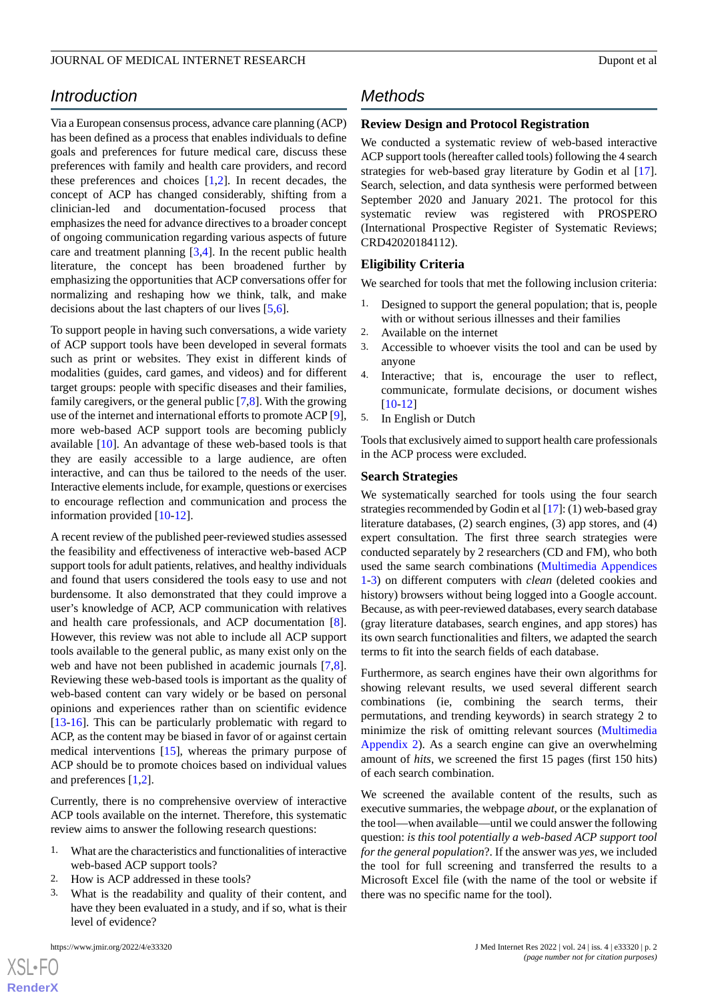Via a European consensus process, advance care planning (ACP) has been defined as a process that enables individuals to define goals and preferences for future medical care, discuss these preferences with family and health care providers, and record these preferences and choices [[1](#page-10-0)[,2](#page-10-1)]. In recent decades, the concept of ACP has changed considerably, shifting from a clinician-led and documentation-focused process that emphasizes the need for advance directives to a broader concept of ongoing communication regarding various aspects of future care and treatment planning [[3,](#page-10-2)[4](#page-11-0)]. In the recent public health literature, the concept has been broadened further by emphasizing the opportunities that ACP conversations offer for normalizing and reshaping how we think, talk, and make decisions about the last chapters of our lives [[5](#page-11-1)[,6](#page-11-2)].

To support people in having such conversations, a wide variety of ACP support tools have been developed in several formats such as print or websites. They exist in different kinds of modalities (guides, card games, and videos) and for different target groups: people with specific diseases and their families, family caregivers, or the general public [\[7](#page-11-3),[8\]](#page-11-4). With the growing use of the internet and international efforts to promote ACP [[9\]](#page-11-5), more web-based ACP support tools are becoming publicly available [[10\]](#page-11-6). An advantage of these web-based tools is that they are easily accessible to a large audience, are often interactive, and can thus be tailored to the needs of the user. Interactive elements include, for example, questions or exercises to encourage reflection and communication and process the information provided [[10-](#page-11-6)[12\]](#page-11-7).

A recent review of the published peer-reviewed studies assessed the feasibility and effectiveness of interactive web-based ACP support tools for adult patients, relatives, and healthy individuals and found that users considered the tools easy to use and not burdensome. It also demonstrated that they could improve a user's knowledge of ACP, ACP communication with relatives and health care professionals, and ACP documentation [[8\]](#page-11-4). However, this review was not able to include all ACP support tools available to the general public, as many exist only on the web and have not been published in academic journals [\[7](#page-11-3),[8\]](#page-11-4). Reviewing these web-based tools is important as the quality of web-based content can vary widely or be based on personal opinions and experiences rather than on scientific evidence [[13](#page-11-8)[-16](#page-11-9)]. This can be particularly problematic with regard to ACP, as the content may be biased in favor of or against certain medical interventions [\[15](#page-11-10)], whereas the primary purpose of ACP should be to promote choices based on individual values and preferences [\[1](#page-10-0),[2\]](#page-10-1).

Currently, there is no comprehensive overview of interactive ACP tools available on the internet. Therefore, this systematic review aims to answer the following research questions:

- 1. What are the characteristics and functionalities of interactive web-based ACP support tools?
- 2. How is ACP addressed in these tools?
- What is the readability and quality of their content, and have they been evaluated in a study, and if so, what is their level of evidence?

 $XS$  $\cdot$ FC **[RenderX](http://www.renderx.com/)**

# *Methods*

### **Review Design and Protocol Registration**

We conducted a systematic review of web-based interactive ACP support tools (hereafter called tools) following the 4 search strategies for web-based gray literature by Godin et al [[17\]](#page-11-11). Search, selection, and data synthesis were performed between September 2020 and January 2021. The protocol for this systematic review was registered with PROSPERO (International Prospective Register of Systematic Reviews; CRD42020184112).

### **Eligibility Criteria**

We searched for tools that met the following inclusion criteria:

- 1. Designed to support the general population; that is, people with or without serious illnesses and their families
- 2. Available on the internet
- 3. Accessible to whoever visits the tool and can be used by anyone
- 4. Interactive; that is, encourage the user to reflect, communicate, formulate decisions, or document wishes [[10](#page-11-6)[-12](#page-11-7)]
- 5. In English or Dutch

Tools that exclusively aimed to support health care professionals in the ACP process were excluded.

### **Search Strategies**

We systematically searched for tools using the four search strategies recommended by Godin et al [\[17\]](#page-11-11): (1) web-based gray literature databases, (2) search engines, (3) app stores, and (4) expert consultation. The first three search strategies were conducted separately by 2 researchers (CD and FM), who both used the same search combinations [\(Multimedia Appendices](#page-10-3) [1-](#page-10-3)[3\)](#page-10-4) on different computers with *clean* (deleted cookies and history) browsers without being logged into a Google account. Because, as with peer-reviewed databases, every search database (gray literature databases, search engines, and app stores) has its own search functionalities and filters, we adapted the search terms to fit into the search fields of each database.

Furthermore, as search engines have their own algorithms for showing relevant results, we used several different search combinations (ie, combining the search terms, their permutations, and trending keywords) in search strategy 2 to minimize the risk of omitting relevant sources [\(Multimedia](#page-10-5) [Appendix 2\)](#page-10-5). As a search engine can give an overwhelming amount of *hits*, we screened the first 15 pages (first 150 hits) of each search combination.

We screened the available content of the results, such as executive summaries, the webpage *about*, or the explanation of the tool—when available—until we could answer the following question: *is this tool potentially a web-based ACP support tool for the general population*?. If the answer was *yes*, we included the tool for full screening and transferred the results to a Microsoft Excel file (with the name of the tool or website if there was no specific name for the tool).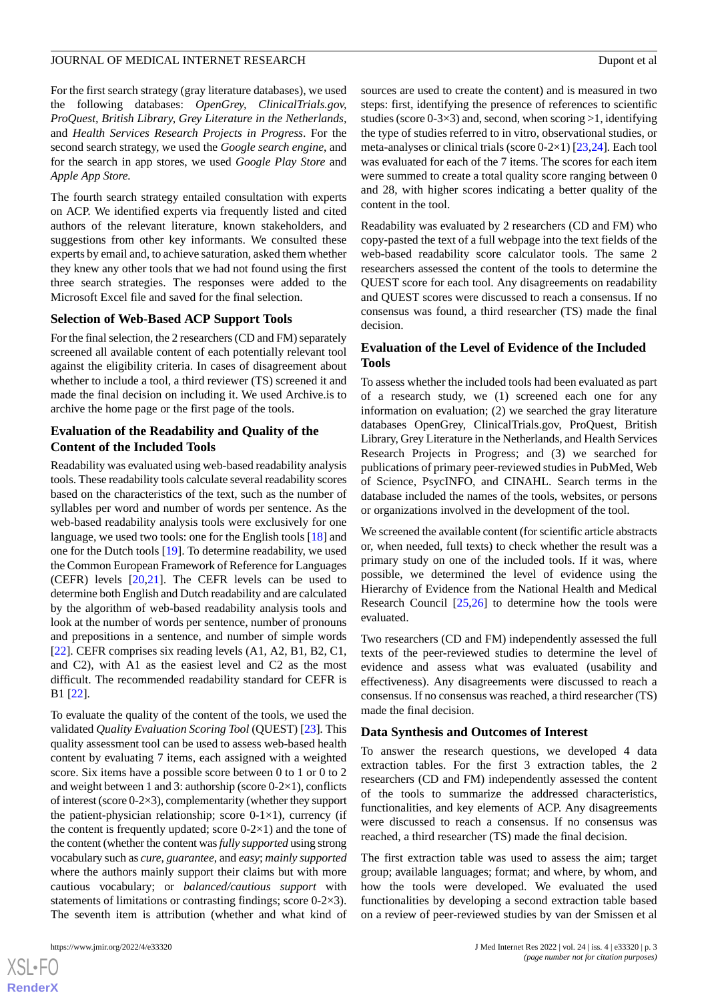For the first search strategy (gray literature databases), we used the following databases: *OpenGrey, ClinicalTrials.gov, ProQuest, British Library, Grey Literature in the Netherlands,* and *Health Services Research Projects in Progress*. For the second search strategy, we used the *Google search engine*, and for the search in app stores, we used *Google Play Store* and *Apple App Store.*

The fourth search strategy entailed consultation with experts on ACP. We identified experts via frequently listed and cited authors of the relevant literature, known stakeholders, and suggestions from other key informants. We consulted these experts by email and, to achieve saturation, asked them whether they knew any other tools that we had not found using the first three search strategies. The responses were added to the Microsoft Excel file and saved for the final selection.

### **Selection of Web-Based ACP Support Tools**

For the final selection, the 2 researchers (CD and FM) separately screened all available content of each potentially relevant tool against the eligibility criteria. In cases of disagreement about whether to include a tool, a third reviewer (TS) screened it and made the final decision on including it. We used Archive.is to archive the home page or the first page of the tools.

## **Evaluation of the Readability and Quality of the Content of the Included Tools**

Readability was evaluated using web-based readability analysis tools. These readability tools calculate several readability scores based on the characteristics of the text, such as the number of syllables per word and number of words per sentence. As the web-based readability analysis tools were exclusively for one language, we used two tools: one for the English tools [[18\]](#page-11-12) and one for the Dutch tools [[19\]](#page-11-13). To determine readability, we used the Common European Framework of Reference for Languages (CEFR) levels [[20,](#page-11-14)[21](#page-11-15)]. The CEFR levels can be used to determine both English and Dutch readability and are calculated by the algorithm of web-based readability analysis tools and look at the number of words per sentence, number of pronouns and prepositions in a sentence, and number of simple words [[22\]](#page-11-16). CEFR comprises six reading levels (A1, A2, B1, B2, C1, and C2), with A1 as the easiest level and C2 as the most difficult. The recommended readability standard for CEFR is B1 [\[22](#page-11-16)].

To evaluate the quality of the content of the tools, we used the validated *Quality Evaluation Scoring Tool* (QUEST) [[23\]](#page-11-17)*.* This quality assessment tool can be used to assess web-based health content by evaluating 7 items, each assigned with a weighted score. Six items have a possible score between 0 to 1 or 0 to 2 and weight between 1 and 3: authorship (score  $0-2\times1$ ), conflicts of interest (score 0-2×3), complementarity (whether they support the patient-physician relationship; score  $0-1\times1$ ), currency (if the content is frequently updated; score  $0-2\times1$ ) and the tone of the content (whether the content was *fully supported* using strong vocabulary such as *cure*, *guarantee*, and *easy*; *mainly supported* where the authors mainly support their claims but with more cautious vocabulary; or *balanced/cautious support* with statements of limitations or contrasting findings; score 0-2×3). The seventh item is attribution (whether and what kind of

 $XS$  $\cdot$ FC **[RenderX](http://www.renderx.com/)** sources are used to create the content) and is measured in two steps: first, identifying the presence of references to scientific studies (score  $0-3\times3$ ) and, second, when scoring  $>1$ , identifying the type of studies referred to in vitro, observational studies, or meta-analyses or clinical trials (score 0-2×1) [[23](#page-11-17)[,24](#page-11-18)]*.* Each tool was evaluated for each of the 7 items. The scores for each item were summed to create a total quality score ranging between 0 and 28, with higher scores indicating a better quality of the content in the tool.

Readability was evaluated by 2 researchers (CD and FM) who copy-pasted the text of a full webpage into the text fields of the web-based readability score calculator tools. The same 2 researchers assessed the content of the tools to determine the QUEST score for each tool. Any disagreements on readability and QUEST scores were discussed to reach a consensus. If no consensus was found, a third researcher (TS) made the final decision.

## **Evaluation of the Level of Evidence of the Included Tools**

To assess whether the included tools had been evaluated as part of a research study, we (1) screened each one for any information on evaluation; (2) we searched the gray literature databases OpenGrey, ClinicalTrials.gov, ProQuest, British Library, Grey Literature in the Netherlands, and Health Services Research Projects in Progress; and (3) we searched for publications of primary peer-reviewed studies in PubMed, Web of Science, PsycINFO, and CINAHL. Search terms in the database included the names of the tools, websites, or persons or organizations involved in the development of the tool.

We screened the available content (for scientific article abstracts or, when needed, full texts) to check whether the result was a primary study on one of the included tools. If it was, where possible, we determined the level of evidence using the Hierarchy of Evidence from the National Health and Medical Research Council  $[25,26]$  $[25,26]$  $[25,26]$  to determine how the tools were evaluated.

Two researchers (CD and FM) independently assessed the full texts of the peer-reviewed studies to determine the level of evidence and assess what was evaluated (usability and effectiveness). Any disagreements were discussed to reach a consensus. If no consensus was reached, a third researcher (TS) made the final decision.

### **Data Synthesis and Outcomes of Interest**

To answer the research questions, we developed 4 data extraction tables. For the first 3 extraction tables, the 2 researchers (CD and FM) independently assessed the content of the tools to summarize the addressed characteristics, functionalities, and key elements of ACP. Any disagreements were discussed to reach a consensus. If no consensus was reached, a third researcher (TS) made the final decision.

The first extraction table was used to assess the aim; target group; available languages; format; and where, by whom, and how the tools were developed. We evaluated the used functionalities by developing a second extraction table based on a review of peer-reviewed studies by van der Smissen et al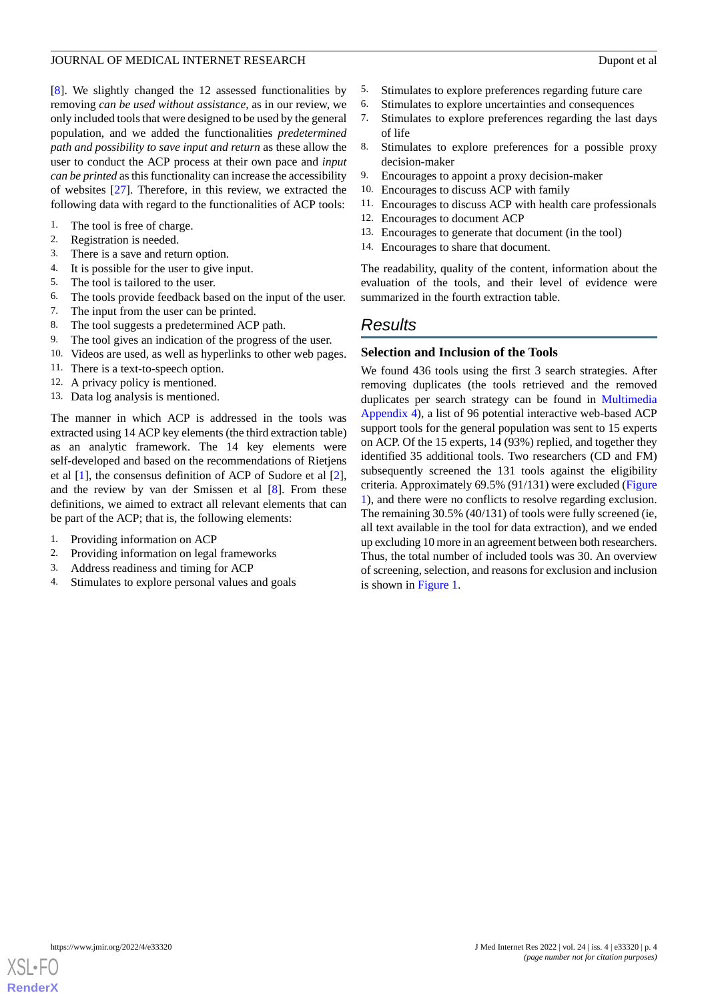[[8\]](#page-11-4). We slightly changed the 12 assessed functionalities by removing *can be used without assistance,* as in our review, we only included tools that were designed to be used by the general population, and we added the functionalities *predetermined path and possibility to save input and return* as these allow the user to conduct the ACP process at their own pace and *input can be printed* as this functionality can increase the accessibility of websites [\[27](#page-11-21)]. Therefore, in this review, we extracted the following data with regard to the functionalities of ACP tools:

- 1. The tool is free of charge.
- 2. Registration is needed.<br>3. There is a save and retu
- 
- 3. There is a save and return option.<br>4. It is possible for the user to give i It is possible for the user to give input.
- 5. The tool is tailored to the user.
- 6. The tools provide feedback based on the input of the user.
- 7. The input from the user can be printed.
- 8. The tool suggests a predetermined ACP path.
- 9. The tool gives an indication of the progress of the user.
- 10. Videos are used, as well as hyperlinks to other web pages.
- 11. There is a text-to-speech option.
- 12. A privacy policy is mentioned.
- 13. Data log analysis is mentioned.

The manner in which ACP is addressed in the tools was extracted using 14 ACP key elements (the third extraction table) as an analytic framework. The 14 key elements were self-developed and based on the recommendations of Rietjens et al [\[1](#page-10-0)], the consensus definition of ACP of Sudore et al [[2\]](#page-10-1), and the review by van der Smissen et al [[8\]](#page-11-4). From these definitions, we aimed to extract all relevant elements that can be part of the ACP; that is, the following elements:

- 1. Providing information on ACP
- 2. Providing information on legal frameworks
- 3. Address readiness and timing for ACP
- 4. Stimulates to explore personal values and goals
- 5. Stimulates to explore preferences regarding future care
- 6. Stimulates to explore uncertainties and consequences
- 7. Stimulates to explore preferences regarding the last days of life
- 8. Stimulates to explore preferences for a possible proxy decision-maker
- 9. Encourages to appoint a proxy decision-maker
- 10. Encourages to discuss ACP with family
- 11. Encourages to discuss ACP with health care professionals
- 12. Encourages to document ACP
- 13. Encourages to generate that document (in the tool)
- 14. Encourages to share that document.

The readability, quality of the content, information about the evaluation of the tools, and their level of evidence were summarized in the fourth extraction table.

# *Results*

### **Selection and Inclusion of the Tools**

We found 436 tools using the first 3 search strategies. After removing duplicates (the tools retrieved and the removed duplicates per search strategy can be found in [Multimedia](#page-10-6) [Appendix 4\)](#page-10-6), a list of 96 potential interactive web-based ACP support tools for the general population was sent to 15 experts on ACP. Of the 15 experts, 14 (93%) replied, and together they identified 35 additional tools. Two researchers (CD and FM) subsequently screened the 131 tools against the eligibility criteria. Approximately 69.5% (91/131) were excluded ([Figure](#page-4-0) [1\)](#page-4-0), and there were no conflicts to resolve regarding exclusion. The remaining 30.5% (40/131) of tools were fully screened (ie, all text available in the tool for data extraction), and we ended up excluding 10 more in an agreement between both researchers. Thus, the total number of included tools was 30. An overview of screening, selection, and reasons for exclusion and inclusion is shown in [Figure 1](#page-4-0).

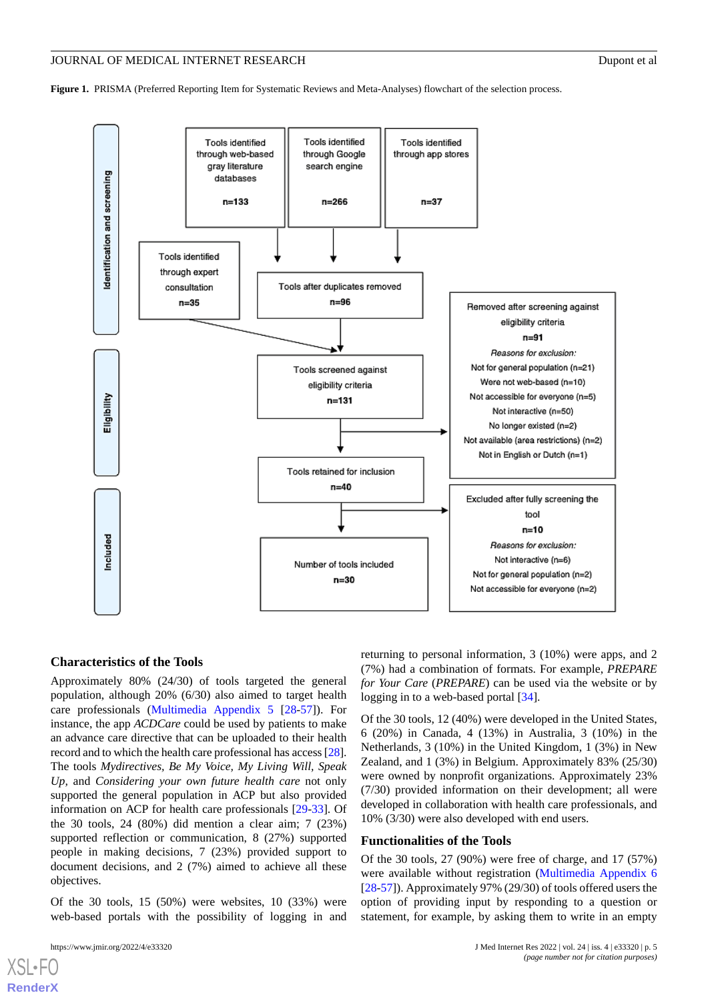<span id="page-4-0"></span>**Figure 1.** PRISMA (Preferred Reporting Item for Systematic Reviews and Meta-Analyses) flowchart of the selection process.



#### **Characteristics of the Tools**

Approximately 80% (24/30) of tools targeted the general population, although 20% (6/30) also aimed to target health care professionals [\(Multimedia Appendix 5](#page-10-7) [[28-](#page-11-22)[57\]](#page-12-0)). For instance, the app *ACDCare* could be used by patients to make an advance care directive that can be uploaded to their health record and to which the health care professional has access [\[28\]](#page-11-22). The tools *Mydirectives, Be My Voice, My Living Will, Speak Up,* and *Considering your own future health care* not only supported the general population in ACP but also provided information on ACP for health care professionals [[29](#page-11-23)[-33](#page-12-1)]. Of the 30 tools, 24 (80%) did mention a clear aim; 7 (23%) supported reflection or communication, 8 (27%) supported people in making decisions, 7 (23%) provided support to document decisions, and 2 (7%) aimed to achieve all these objectives.

Of the 30 tools,  $15$  (50%) were websites,  $10$  (33%) were web-based portals with the possibility of logging in and

[XSL](http://www.w3.org/Style/XSL)•FO **[RenderX](http://www.renderx.com/)**

returning to personal information, 3 (10%) were apps, and 2 (7%) had a combination of formats. For example, *PREPARE for Your Care* (*PREPARE*) can be used via the website or by logging in to a web-based portal [[34\]](#page-12-2).

Of the 30 tools, 12 (40%) were developed in the United States, 6 (20%) in Canada, 4 (13%) in Australia, 3 (10%) in the Netherlands, 3 (10%) in the United Kingdom, 1 (3%) in New Zealand, and 1 (3%) in Belgium. Approximately 83% (25/30) were owned by nonprofit organizations. Approximately 23% (7/30) provided information on their development; all were developed in collaboration with health care professionals, and 10% (3/30) were also developed with end users.

### **Functionalities of the Tools**

Of the 30 tools, 27 (90%) were free of charge, and 17 (57%) were available without registration ([Multimedia Appendix 6](#page-10-8) [[28](#page-11-22)[-57](#page-12-0)]). Approximately 97% (29/30) of tools offered users the option of providing input by responding to a question or statement, for example, by asking them to write in an empty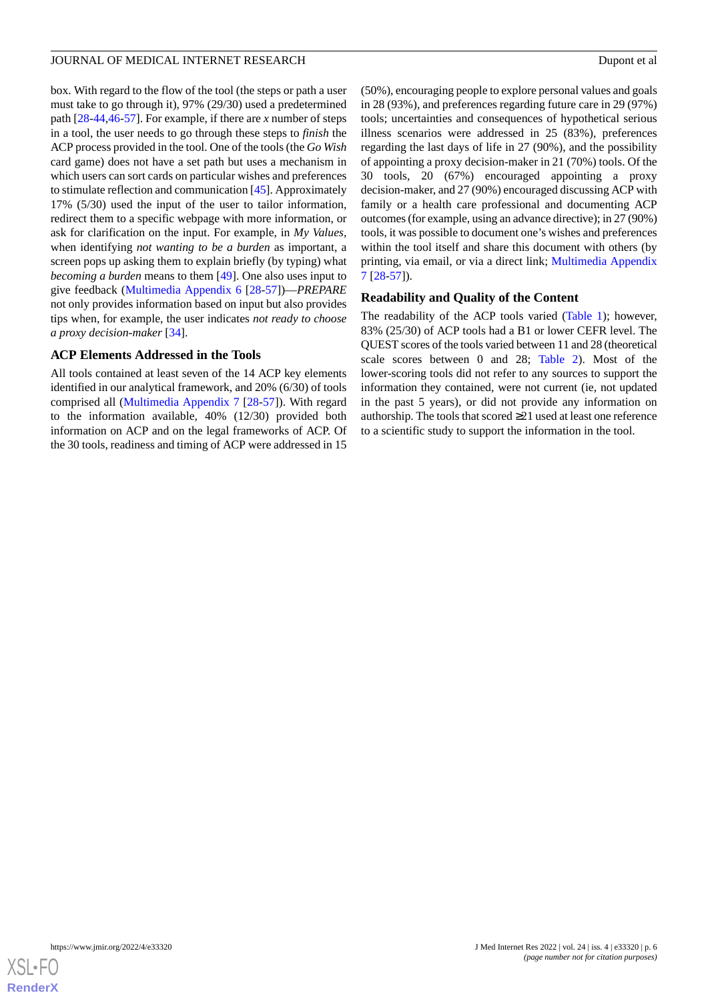box. With regard to the flow of the tool (the steps or path a user must take to go through it), 97% (29/30) used a predetermined path [\[28](#page-11-22)-[44,](#page-12-3)[46](#page-12-4)[-57](#page-12-0)]. For example, if there are *x* number of steps in a tool, the user needs to go through these steps to *finish* the ACP process provided in the tool. One of the tools (the *Go Wish* card game) does not have a set path but uses a mechanism in which users can sort cards on particular wishes and preferences to stimulate reflection and communication [[45\]](#page-12-5). Approximately 17% (5/30) used the input of the user to tailor information, redirect them to a specific webpage with more information, or ask for clarification on the input. For example, in *My Values,* when identifying *not wanting to be a burden* as important, a screen pops up asking them to explain briefly (by typing) what *becoming a burden* means to them [\[49](#page-12-6)]. One also uses input to give feedback [\(Multimedia Appendix 6](#page-10-8) [[28-](#page-11-22)[57](#page-12-0)])—*PREPARE* not only provides information based on input but also provides tips when, for example, the user indicates *not ready to choose a proxy decision-maker* [\[34](#page-12-2)].

# **ACP Elements Addressed in the Tools**

All tools contained at least seven of the 14 ACP key elements identified in our analytical framework, and 20% (6/30) of tools comprised all ([Multimedia Appendix 7](#page-10-9) [[28](#page-11-22)[-57](#page-12-0)]). With regard to the information available, 40% (12/30) provided both information on ACP and on the legal frameworks of ACP. Of the 30 tools, readiness and timing of ACP were addressed in 15

(50%), encouraging people to explore personal values and goals in 28 (93%), and preferences regarding future care in 29 (97%) tools; uncertainties and consequences of hypothetical serious illness scenarios were addressed in 25 (83%), preferences regarding the last days of life in 27 (90%), and the possibility of appointing a proxy decision-maker in 21 (70%) tools. Of the 30 tools, 20 (67%) encouraged appointing a proxy decision-maker, and 27 (90%) encouraged discussing ACP with family or a health care professional and documenting ACP outcomes (for example, using an advance directive); in 27 (90%) tools, it was possible to document one's wishes and preferences within the tool itself and share this document with others (by printing, via email, or via a direct link; [Multimedia Appendix](#page-10-9) [7](#page-10-9) [\[28](#page-11-22)-[57\]](#page-12-0)).

# **Readability and Quality of the Content**

The readability of the ACP tools varied [\(Table 1\)](#page-6-0); however, 83% (25/30) of ACP tools had a B1 or lower CEFR level. The QUEST scores of the tools varied between 11 and 28 (theoretical scale scores between 0 and 28; [Table 2](#page-7-0)). Most of the lower-scoring tools did not refer to any sources to support the information they contained, were not current (ie, not updated in the past 5 years), or did not provide any information on authorship. The tools that scored ≥21 used at least one reference to a scientific study to support the information in the tool.

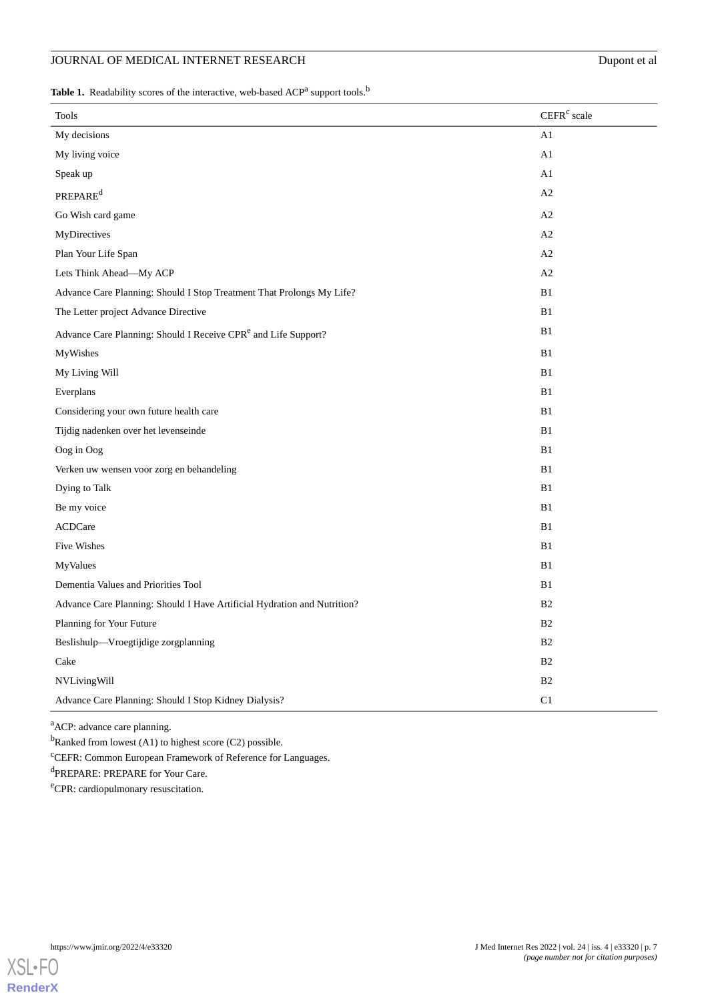# JOURNAL OF MEDICAL INTERNET RESEARCH Dupont et al

<span id="page-6-0"></span>Table 1. Readability scores of the interactive, web-based ACP<sup>a</sup> support tools.<sup>b</sup>

| Tools                                                                      | CEFR <sup>c</sup> scale |
|----------------------------------------------------------------------------|-------------------------|
| My decisions                                                               | A1                      |
| My living voice                                                            | A1                      |
| Speak up                                                                   | A1                      |
| <b>PREPARE</b> <sup>d</sup>                                                | A2                      |
| Go Wish card game                                                          | A2                      |
| MyDirectives                                                               | A2                      |
| Plan Your Life Span                                                        | A2                      |
| Lets Think Ahead-My ACP                                                    | A2                      |
| Advance Care Planning: Should I Stop Treatment That Prolongs My Life?      | B1                      |
| The Letter project Advance Directive                                       | B1                      |
| Advance Care Planning: Should I Receive CPR <sup>e</sup> and Life Support? | B1                      |
| MyWishes                                                                   | B1                      |
| My Living Will                                                             | B1                      |
| Everplans                                                                  | B1                      |
| Considering your own future health care                                    | B1                      |
| Tijdig nadenken over het levenseinde                                       | B1                      |
| Oog in Oog                                                                 | B1                      |
| Verken uw wensen voor zorg en behandeling                                  | B1                      |
| Dying to Talk                                                              | B1                      |
| Be my voice                                                                | B1                      |
| <b>ACDCare</b>                                                             | B1                      |
| Five Wishes                                                                | B1                      |
| MyValues                                                                   | B1                      |
| Dementia Values and Priorities Tool                                        | B1                      |
| Advance Care Planning: Should I Have Artificial Hydration and Nutrition?   | B <sub>2</sub>          |
| Planning for Your Future                                                   | B <sub>2</sub>          |
| Beslishulp-Vroegtijdige zorgplanning                                       | B <sub>2</sub>          |
| Cake                                                                       | B2                      |
| NVLivingWill                                                               | B2                      |
| Advance Care Planning: Should I Stop Kidney Dialysis?                      | C1                      |

<sup>a</sup>ACP: advance care planning.

<sup>b</sup>Ranked from lowest (A1) to highest score (C2) possible.

<sup>c</sup>CEFR: Common European Framework of Reference for Languages.

dPREPARE: PREPARE for Your Care.

<sup>e</sup>CPR: cardiopulmonary resuscitation.

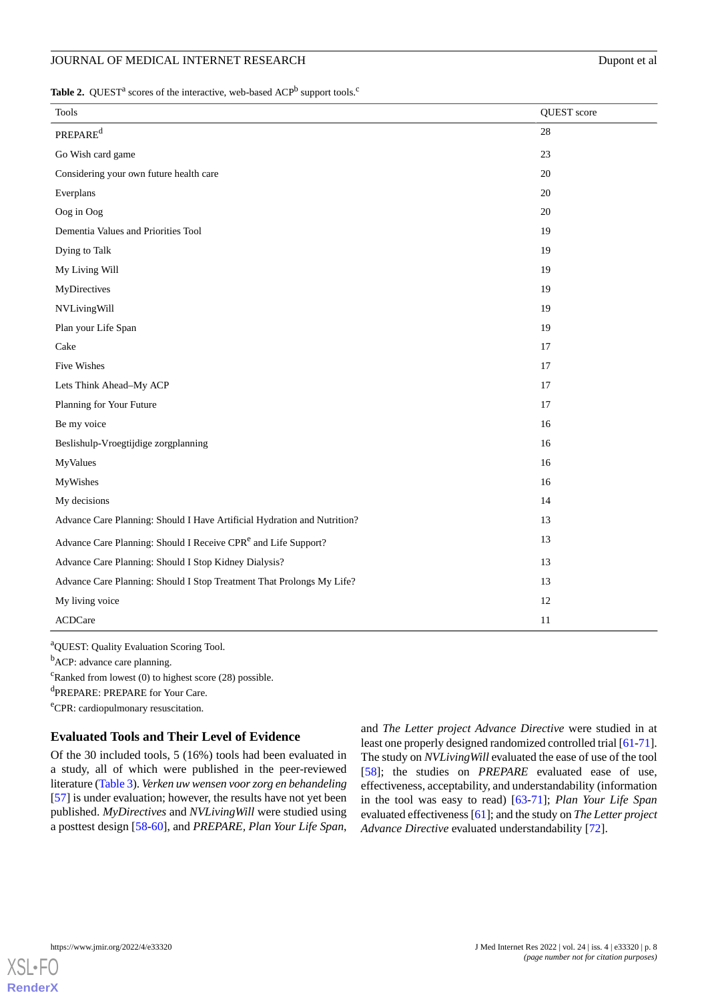<span id="page-7-0"></span>Table 2. QUEST<sup>a</sup> scores of the interactive, web-based ACP<sup>b</sup> support tools.<sup>c</sup>

| <b>Tools</b>                                                               | QUEST score |
|----------------------------------------------------------------------------|-------------|
| $\text{PREPARE}^\text{d}$                                                  | $28\,$      |
| Go Wish card game                                                          | 23          |
| Considering your own future health care                                    | 20          |
| Everplans                                                                  | 20          |
| Oog in Oog                                                                 | 20          |
| Dementia Values and Priorities Tool                                        | 19          |
| Dying to Talk                                                              | 19          |
| My Living Will                                                             | 19          |
| MyDirectives                                                               | 19          |
| NVLivingWill                                                               | 19          |
| Plan your Life Span                                                        | 19          |
| Cake                                                                       | 17          |
| Five Wishes                                                                | 17          |
| Lets Think Ahead-My ACP                                                    | 17          |
| Planning for Your Future                                                   | 17          |
| Be my voice                                                                | 16          |
| Beslishulp-Vroegtijdige zorgplanning                                       | 16          |
| MyValues                                                                   | 16          |
| MyWishes                                                                   | 16          |
| My decisions                                                               | 14          |
| Advance Care Planning: Should I Have Artificial Hydration and Nutrition?   | 13          |
| Advance Care Planning: Should I Receive CPR <sup>e</sup> and Life Support? | 13          |
| Advance Care Planning: Should I Stop Kidney Dialysis?                      | 13          |
| Advance Care Planning: Should I Stop Treatment That Prolongs My Life?      | 13          |
| My living voice                                                            | 12          |
| ACDCare                                                                    | 11          |

<sup>a</sup>QUEST: Quality Evaluation Scoring Tool.

<sup>b</sup>ACP: advance care planning.

 $c$ Ranked from lowest (0) to highest score (28) possible.

d PREPARE: PREPARE for Your Care.

<sup>e</sup>CPR: cardiopulmonary resuscitation.

# **Evaluated Tools and Their Level of Evidence**

Of the 30 included tools, 5 (16%) tools had been evaluated in a study, all of which were published in the peer-reviewed literature [\(Table 3\)](#page-8-0). *Verken uw wensen voor zorg en behandeling* [[57\]](#page-12-0) is under evaluation; however, the results have not yet been published. *MyDirectives* and *NVLivingWill* were studied using a posttest design [\[58](#page-13-0)[-60](#page-13-1)], and *PREPARE, Plan Your Life Span*,

and *The Letter project Advance Directive* were studied in at least one properly designed randomized controlled trial [[61](#page-13-2)[-71](#page-13-3)]. The study on *NVLivingWill* evaluated the ease of use of the tool [[58\]](#page-13-0); the studies on *PREPARE* evaluated ease of use, effectiveness, acceptability, and understandability (information in the tool was easy to read) [[63-](#page-13-4)[71\]](#page-13-3); *Plan Your Life Span* evaluated effectiveness [\[61](#page-13-2)]; and the study on *The Letter project Advance Directive* evaluated understandability [[72\]](#page-13-5).

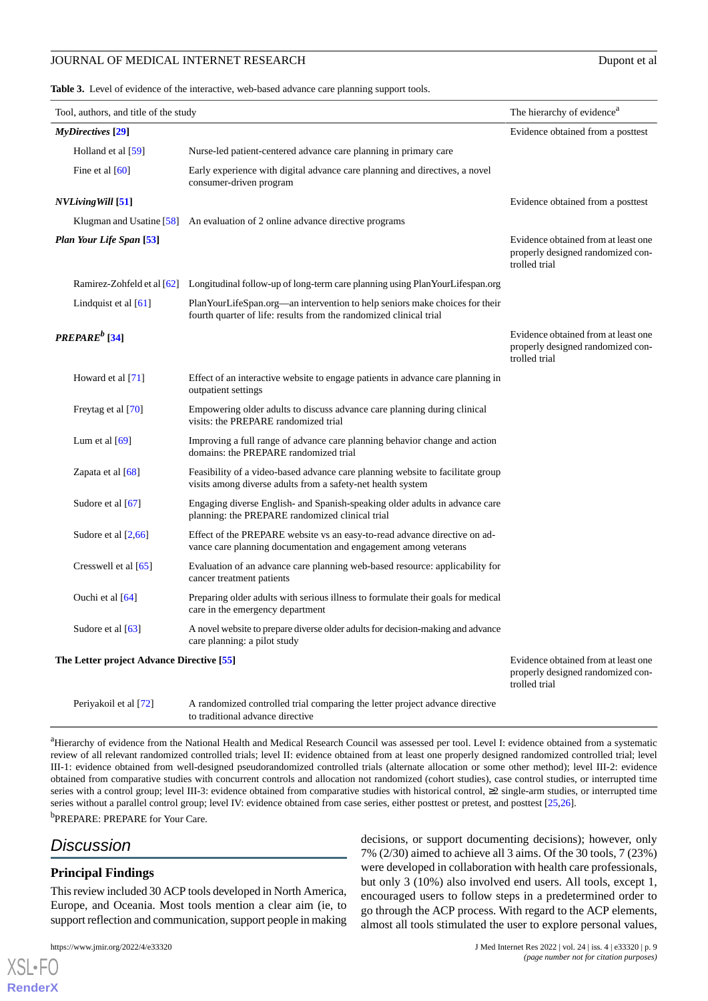<span id="page-8-0"></span>**Table 3.** Level of evidence of the interactive, web-based advance care planning support tools.

| Tool, authors, and title of the study     |                           | The hierarchy of evidence <sup>a</sup>                                                                                                             |                                                                                           |
|-------------------------------------------|---------------------------|----------------------------------------------------------------------------------------------------------------------------------------------------|-------------------------------------------------------------------------------------------|
| <b>MyDirectives</b> [29]                  |                           | Evidence obtained from a posttest                                                                                                                  |                                                                                           |
|                                           | Holland et al [59]        | Nurse-led patient-centered advance care planning in primary care                                                                                   |                                                                                           |
|                                           | Fine et al $[60]$         | Early experience with digital advance care planning and directives, a novel<br>consumer-driven program                                             |                                                                                           |
|                                           | <b>NVLiving Will</b> [51] |                                                                                                                                                    | Evidence obtained from a posttest                                                         |
|                                           |                           | Klugman and Usatine $[58]$ An evaluation of 2 online advance directive programs                                                                    |                                                                                           |
|                                           | Plan Your Life Span [53]  |                                                                                                                                                    | Evidence obtained from at least one<br>properly designed randomized con-<br>trolled trial |
|                                           |                           | Ramirez-Zohfeld et al [62] Longitudinal follow-up of long-term care planning using PlanYourLifespan.org                                            |                                                                                           |
|                                           | Lindquist et al $[61]$    | Plan YourLifeSpan.org—an intervention to help seniors make choices for their<br>fourth quarter of life: results from the randomized clinical trial |                                                                                           |
|                                           | $PREPAREb$ [34]           |                                                                                                                                                    | Evidence obtained from at least one<br>properly designed randomized con-<br>trolled trial |
|                                           | Howard et al [71]         | Effect of an interactive website to engage patients in advance care planning in<br>outpatient settings                                             |                                                                                           |
|                                           | Freytag et al [70]        | Empowering older adults to discuss advance care planning during clinical<br>visits: the PREPARE randomized trial                                   |                                                                                           |
|                                           | Lum et al $[69]$          | Improving a full range of advance care planning behavior change and action<br>domains: the PREPARE randomized trial                                |                                                                                           |
|                                           | Zapata et al [68]         | Feasibility of a video-based advance care planning website to facilitate group<br>visits among diverse adults from a safety-net health system      |                                                                                           |
|                                           | Sudore et al [67]         | Engaging diverse English- and Spanish-speaking older adults in advance care<br>planning: the PREPARE randomized clinical trial                     |                                                                                           |
|                                           | Sudore et al $[2,66]$     | Effect of the PREPARE website vs an easy-to-read advance directive on ad-<br>vance care planning documentation and engagement among veterans       |                                                                                           |
|                                           | Cresswell et al [65]      | Evaluation of an advance care planning web-based resource: applicability for<br>cancer treatment patients                                          |                                                                                           |
|                                           | Ouchi et al [64]          | Preparing older adults with serious illness to formulate their goals for medical<br>care in the emergency department                               |                                                                                           |
|                                           | Sudore et al [63]         | A novel website to prepare diverse older adults for decision-making and advance<br>care planning: a pilot study                                    |                                                                                           |
| The Letter project Advance Directive [55] |                           | Evidence obtained from at least one<br>properly designed randomized con-<br>trolled trial                                                          |                                                                                           |
|                                           | Periyakoil et al [72]     | A randomized controlled trial comparing the letter project advance directive                                                                       |                                                                                           |

to traditional advance directive

<sup>a</sup>Hierarchy of evidence from the National Health and Medical Research Council was assessed per tool. Level I: evidence obtained from a systematic review of all relevant randomized controlled trials; level II: evidence obtained from at least one properly designed randomized controlled trial; level III-1: evidence obtained from well-designed pseudorandomized controlled trials (alternate allocation or some other method); level III-2: evidence obtained from comparative studies with concurrent controls and allocation not randomized (cohort studies), case control studies, or interrupted time series with a control group; level III-3: evidence obtained from comparative studies with historical control, ≥2 single-arm studies, or interrupted time series without a parallel control group; level IV: evidence obtained from case series, either posttest or pretest, and posttest [[25](#page-11-19),[26\]](#page-11-20). <sup>b</sup>PREPARE: PREPARE for Your Care.

# *Discussion*

[XSL](http://www.w3.org/Style/XSL)•FO **[RenderX](http://www.renderx.com/)**

# **Principal Findings**

This review included 30 ACP tools developed in North America, Europe, and Oceania. Most tools mention a clear aim (ie, to support reflection and communication, support people in making

decisions, or support documenting decisions); however, only 7% (2/30) aimed to achieve all 3 aims. Of the 30 tools, 7 (23%) were developed in collaboration with health care professionals, but only 3 (10%) also involved end users. All tools, except 1, encouraged users to follow steps in a predetermined order to go through the ACP process. With regard to the ACP elements, almost all tools stimulated the user to explore personal values,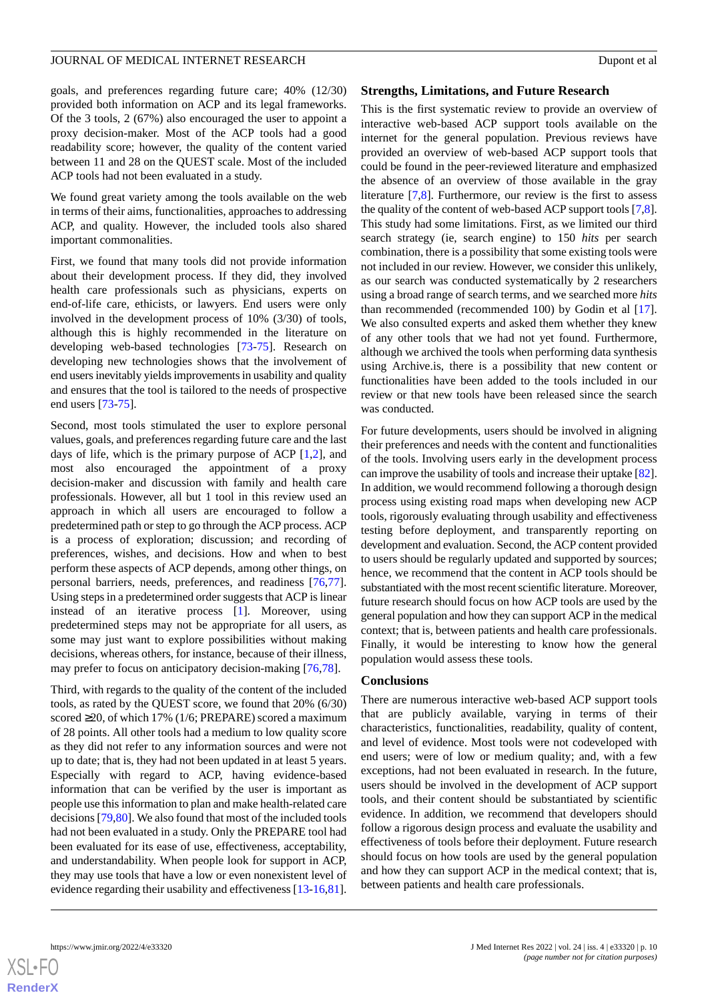goals, and preferences regarding future care; 40% (12/30) provided both information on ACP and its legal frameworks. Of the 3 tools, 2 (67%) also encouraged the user to appoint a proxy decision-maker. Most of the ACP tools had a good readability score; however, the quality of the content varied between 11 and 28 on the QUEST scale. Most of the included ACP tools had not been evaluated in a study.

We found great variety among the tools available on the web in terms of their aims, functionalities, approaches to addressing ACP, and quality. However, the included tools also shared important commonalities.

First, we found that many tools did not provide information about their development process. If they did, they involved health care professionals such as physicians, experts on end-of-life care, ethicists, or lawyers. End users were only involved in the development process of 10% (3/30) of tools, although this is highly recommended in the literature on developing web-based technologies [[73-](#page-13-15)[75](#page-13-16)]. Research on developing new technologies shows that the involvement of end users inevitably yields improvements in usability and quality and ensures that the tool is tailored to the needs of prospective end users [[73](#page-13-15)[-75](#page-13-16)].

Second, most tools stimulated the user to explore personal values, goals, and preferences regarding future care and the last days of life, which is the primary purpose of ACP [[1](#page-10-0)[,2](#page-10-1)], and most also encouraged the appointment of a proxy decision-maker and discussion with family and health care professionals. However, all but 1 tool in this review used an approach in which all users are encouraged to follow a predetermined path or step to go through the ACP process. ACP is a process of exploration; discussion; and recording of preferences, wishes, and decisions. How and when to best perform these aspects of ACP depends, among other things, on personal barriers, needs, preferences, and readiness [\[76](#page-13-17),[77\]](#page-13-18). Using steps in a predetermined order suggests that ACP is linear instead of an iterative process [[1\]](#page-10-0). Moreover, using predetermined steps may not be appropriate for all users, as some may just want to explore possibilities without making decisions, whereas others, for instance, because of their illness, may prefer to focus on anticipatory decision-making [\[76](#page-13-17),[78\]](#page-14-0).

Third, with regards to the quality of the content of the included tools, as rated by the QUEST score, we found that 20% (6/30) scored ≥20, of which 17% (1/6; PREPARE) scored a maximum of 28 points. All other tools had a medium to low quality score as they did not refer to any information sources and were not up to date; that is, they had not been updated in at least 5 years. Especially with regard to ACP, having evidence-based information that can be verified by the user is important as people use this information to plan and make health-related care decisions [[79,](#page-14-1)[80\]](#page-14-2). We also found that most of the included tools had not been evaluated in a study. Only the PREPARE tool had been evaluated for its ease of use, effectiveness, acceptability, and understandability. When people look for support in ACP, they may use tools that have a low or even nonexistent level of evidence regarding their usability and effectiveness [[13](#page-11-8)[-16](#page-11-9),[81\]](#page-14-3).

#### **Strengths, Limitations, and Future Research**

This is the first systematic review to provide an overview of interactive web-based ACP support tools available on the internet for the general population. Previous reviews have provided an overview of web-based ACP support tools that could be found in the peer-reviewed literature and emphasized the absence of an overview of those available in the gray literature [[7,](#page-11-3)[8](#page-11-4)]. Furthermore, our review is the first to assess the quality of the content of web-based ACP support tools [[7,](#page-11-3)[8](#page-11-4)]. This study had some limitations. First, as we limited our third search strategy (ie, search engine) to 150 *hits* per search combination, there is a possibility that some existing tools were not included in our review. However, we consider this unlikely, as our search was conducted systematically by 2 researchers using a broad range of search terms, and we searched more *hits* than recommended (recommended 100) by Godin et al [[17\]](#page-11-11). We also consulted experts and asked them whether they knew of any other tools that we had not yet found. Furthermore, although we archived the tools when performing data synthesis using Archive.is, there is a possibility that new content or functionalities have been added to the tools included in our review or that new tools have been released since the search was conducted.

For future developments, users should be involved in aligning their preferences and needs with the content and functionalities of the tools. Involving users early in the development process can improve the usability of tools and increase their uptake [\[82](#page-14-4)]. In addition, we would recommend following a thorough design process using existing road maps when developing new ACP tools, rigorously evaluating through usability and effectiveness testing before deployment, and transparently reporting on development and evaluation. Second, the ACP content provided to users should be regularly updated and supported by sources; hence, we recommend that the content in ACP tools should be substantiated with the most recent scientific literature. Moreover, future research should focus on how ACP tools are used by the general population and how they can support ACP in the medical context; that is, between patients and health care professionals. Finally, it would be interesting to know how the general population would assess these tools.

#### **Conclusions**

There are numerous interactive web-based ACP support tools that are publicly available, varying in terms of their characteristics, functionalities, readability, quality of content, and level of evidence. Most tools were not codeveloped with end users; were of low or medium quality; and, with a few exceptions, had not been evaluated in research. In the future, users should be involved in the development of ACP support tools, and their content should be substantiated by scientific evidence. In addition, we recommend that developers should follow a rigorous design process and evaluate the usability and effectiveness of tools before their deployment. Future research should focus on how tools are used by the general population and how they can support ACP in the medical context; that is, between patients and health care professionals.

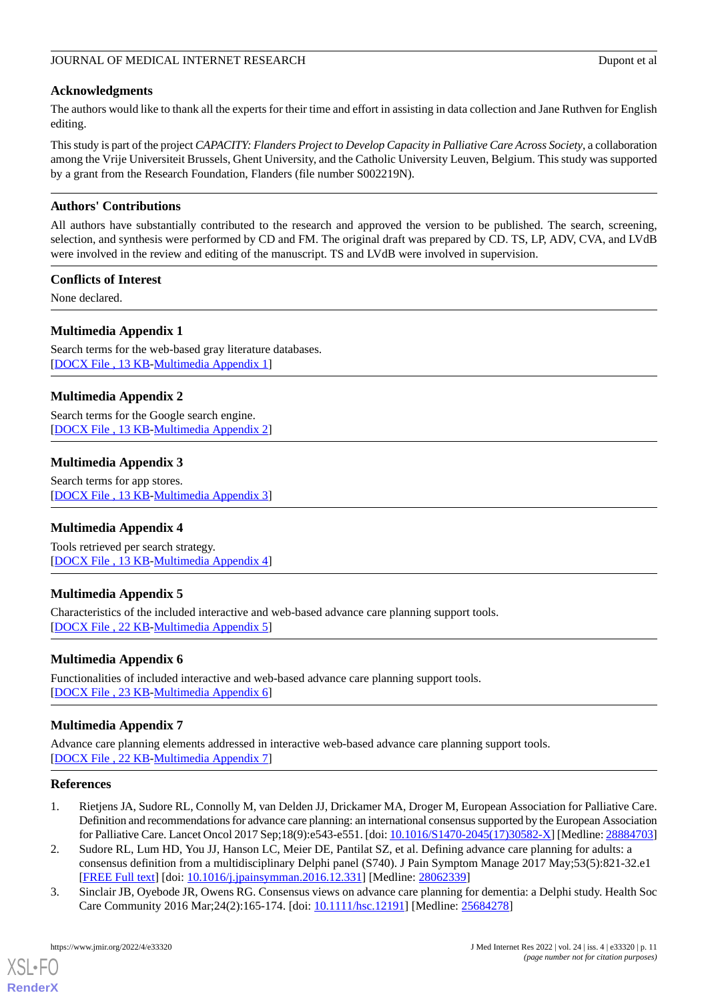### JOURNAL OF MEDICAL INTERNET RESEARCH Dupont et al

# **Acknowledgments**

The authors would like to thank all the experts for their time and effort in assisting in data collection and Jane Ruthven for English editing.

This study is part of the project *CAPACITY: Flanders Project to Develop Capacity in Palliative Care Across Society*, a collaboration among the Vrije Universiteit Brussels, Ghent University, and the Catholic University Leuven, Belgium. This study was supported by a grant from the Research Foundation, Flanders (file number S002219N).

# **Authors' Contributions**

All authors have substantially contributed to the research and approved the version to be published. The search, screening, selection, and synthesis were performed by CD and FM. The original draft was prepared by CD. TS, LP, ADV, CVA, and LVdB were involved in the review and editing of the manuscript. TS and LVdB were involved in supervision.

# **Conflicts of Interest**

<span id="page-10-3"></span>None declared.

# **Multimedia Appendix 1**

<span id="page-10-5"></span>Search terms for the web-based gray literature databases. [[DOCX File , 13 KB](https://jmir.org/api/download?alt_name=jmir_v24i4e33320_app1.docx&filename=3753e77a7c0f250bd8f2c665f7ea89e1.docx)-[Multimedia Appendix 1\]](https://jmir.org/api/download?alt_name=jmir_v24i4e33320_app1.docx&filename=3753e77a7c0f250bd8f2c665f7ea89e1.docx)

# **Multimedia Appendix 2**

<span id="page-10-4"></span>Search terms for the Google search engine. [[DOCX File , 13 KB](https://jmir.org/api/download?alt_name=jmir_v24i4e33320_app2.docx&filename=79f05566a320080bc33d2e731e1308ce.docx)-[Multimedia Appendix 2\]](https://jmir.org/api/download?alt_name=jmir_v24i4e33320_app2.docx&filename=79f05566a320080bc33d2e731e1308ce.docx)

# **Multimedia Appendix 3**

<span id="page-10-6"></span>Search terms for app stores. [[DOCX File , 13 KB](https://jmir.org/api/download?alt_name=jmir_v24i4e33320_app3.docx&filename=94255a933224ecc2c1591802bebe53ea.docx)-[Multimedia Appendix 3\]](https://jmir.org/api/download?alt_name=jmir_v24i4e33320_app3.docx&filename=94255a933224ecc2c1591802bebe53ea.docx)

# <span id="page-10-7"></span>**Multimedia Appendix 4**

Tools retrieved per search strategy. [[DOCX File , 13 KB](https://jmir.org/api/download?alt_name=jmir_v24i4e33320_app4.docx&filename=4d11b56d676f052568992b0d519d405a.docx)-[Multimedia Appendix 4\]](https://jmir.org/api/download?alt_name=jmir_v24i4e33320_app4.docx&filename=4d11b56d676f052568992b0d519d405a.docx)

# <span id="page-10-8"></span>**Multimedia Appendix 5**

Characteristics of the included interactive and web-based advance care planning support tools. [[DOCX File , 22 KB](https://jmir.org/api/download?alt_name=jmir_v24i4e33320_app5.docx&filename=542fa12652bcf26dad60264a61f67c57.docx)-[Multimedia Appendix 5\]](https://jmir.org/api/download?alt_name=jmir_v24i4e33320_app5.docx&filename=542fa12652bcf26dad60264a61f67c57.docx)

# <span id="page-10-9"></span>**Multimedia Appendix 6**

Functionalities of included interactive and web-based advance care planning support tools. [[DOCX File , 23 KB](https://jmir.org/api/download?alt_name=jmir_v24i4e33320_app6.docx&filename=921e0dbf6b2005ac4dd9e781fc08f313.docx)-[Multimedia Appendix 6\]](https://jmir.org/api/download?alt_name=jmir_v24i4e33320_app6.docx&filename=921e0dbf6b2005ac4dd9e781fc08f313.docx)

# <span id="page-10-0"></span>**Multimedia Appendix 7**

<span id="page-10-1"></span>Advance care planning elements addressed in interactive web-based advance care planning support tools. [[DOCX File , 22 KB](https://jmir.org/api/download?alt_name=jmir_v24i4e33320_app7.docx&filename=e4bb71cd5e176766af4b77ed1b408ccc.docx)-[Multimedia Appendix 7\]](https://jmir.org/api/download?alt_name=jmir_v24i4e33320_app7.docx&filename=e4bb71cd5e176766af4b77ed1b408ccc.docx)

# **References**

- <span id="page-10-2"></span>1. Rietjens JA, Sudore RL, Connolly M, van Delden JJ, Drickamer MA, Droger M, European Association for Palliative Care. Definition and recommendations for advance care planning: an international consensus supported by the European Association for Palliative Care. Lancet Oncol 2017 Sep;18(9):e543-e551. [doi: [10.1016/S1470-2045\(17\)30582-X](http://dx.doi.org/10.1016/S1470-2045(17)30582-X)] [Medline: [28884703\]](http://www.ncbi.nlm.nih.gov/entrez/query.fcgi?cmd=Retrieve&db=PubMed&list_uids=28884703&dopt=Abstract)
- 2. Sudore RL, Lum HD, You JJ, Hanson LC, Meier DE, Pantilat SZ, et al. Defining advance care planning for adults: a consensus definition from a multidisciplinary Delphi panel (S740). J Pain Symptom Manage 2017 May;53(5):821-32.e1 [[FREE Full text](https://linkinghub.elsevier.com/retrieve/pii/S0885-3924(16)31232-5)] [doi: [10.1016/j.jpainsymman.2016.12.331](http://dx.doi.org/10.1016/j.jpainsymman.2016.12.331)] [Medline: [28062339](http://www.ncbi.nlm.nih.gov/entrez/query.fcgi?cmd=Retrieve&db=PubMed&list_uids=28062339&dopt=Abstract)]
- 3. Sinclair JB, Oyebode JR, Owens RG. Consensus views on advance care planning for dementia: a Delphi study. Health Soc Care Community 2016 Mar;24(2):165-174. [doi: [10.1111/hsc.12191](http://dx.doi.org/10.1111/hsc.12191)] [Medline: [25684278](http://www.ncbi.nlm.nih.gov/entrez/query.fcgi?cmd=Retrieve&db=PubMed&list_uids=25684278&dopt=Abstract)]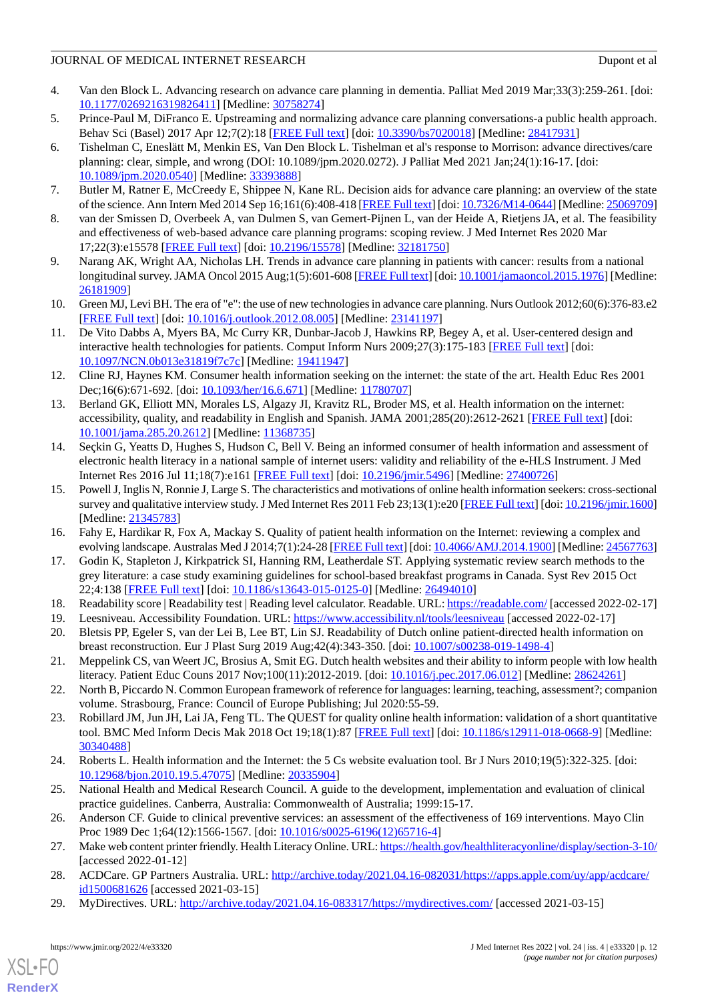- <span id="page-11-0"></span>4. Van den Block L. Advancing research on advance care planning in dementia. Palliat Med 2019 Mar;33(3):259-261. [doi: [10.1177/0269216319826411\]](http://dx.doi.org/10.1177/0269216319826411) [Medline: [30758274\]](http://www.ncbi.nlm.nih.gov/entrez/query.fcgi?cmd=Retrieve&db=PubMed&list_uids=30758274&dopt=Abstract)
- <span id="page-11-2"></span><span id="page-11-1"></span>5. Prince-Paul M, DiFranco E. Upstreaming and normalizing advance care planning conversations-a public health approach. Behav Sci (Basel) 2017 Apr 12;7(2):18 [[FREE Full text](https://www.mdpi.com/resolver?pii=bs7020018)] [doi: [10.3390/bs7020018](http://dx.doi.org/10.3390/bs7020018)] [Medline: [28417931](http://www.ncbi.nlm.nih.gov/entrez/query.fcgi?cmd=Retrieve&db=PubMed&list_uids=28417931&dopt=Abstract)]
- 6. Tishelman C, Eneslätt M, Menkin ES, Van Den Block L. Tishelman et al's response to Morrison: advance directives/care planning: clear, simple, and wrong (DOI: 10.1089/jpm.2020.0272). J Palliat Med 2021 Jan;24(1):16-17. [doi: [10.1089/jpm.2020.0540](http://dx.doi.org/10.1089/jpm.2020.0540)] [Medline: [33393888](http://www.ncbi.nlm.nih.gov/entrez/query.fcgi?cmd=Retrieve&db=PubMed&list_uids=33393888&dopt=Abstract)]
- <span id="page-11-4"></span><span id="page-11-3"></span>7. Butler M, Ratner E, McCreedy E, Shippee N, Kane RL. Decision aids for advance care planning: an overview of the state of the science. Ann Intern Med 2014 Sep 16;161(6):408-418 [[FREE Full text](https://www.acpjournals.org/doi/abs/10.7326/M14-0644?url_ver=Z39.88-2003&rfr_id=ori:rid:crossref.org&rfr_dat=cr_pub%3dpubmed)] [doi: [10.7326/M14-0644\]](http://dx.doi.org/10.7326/M14-0644) [Medline: [25069709\]](http://www.ncbi.nlm.nih.gov/entrez/query.fcgi?cmd=Retrieve&db=PubMed&list_uids=25069709&dopt=Abstract)
- <span id="page-11-5"></span>8. van der Smissen D, Overbeek A, van Dulmen S, van Gemert-Pijnen L, van der Heide A, Rietjens JA, et al. The feasibility and effectiveness of web-based advance care planning programs: scoping review. J Med Internet Res 2020 Mar 17;22(3):e15578 [\[FREE Full text](https://www.jmir.org/2020/3/e15578/)] [doi: [10.2196/15578\]](http://dx.doi.org/10.2196/15578) [Medline: [32181750\]](http://www.ncbi.nlm.nih.gov/entrez/query.fcgi?cmd=Retrieve&db=PubMed&list_uids=32181750&dopt=Abstract)
- <span id="page-11-6"></span>9. Narang AK, Wright AA, Nicholas LH. Trends in advance care planning in patients with cancer: results from a national longitudinal survey. JAMA Oncol 2015 Aug;1(5):601-608 [\[FREE Full text](http://europepmc.org/abstract/MED/26181909)] [doi: [10.1001/jamaoncol.2015.1976](http://dx.doi.org/10.1001/jamaoncol.2015.1976)] [Medline: [26181909](http://www.ncbi.nlm.nih.gov/entrez/query.fcgi?cmd=Retrieve&db=PubMed&list_uids=26181909&dopt=Abstract)]
- 10. Green MJ, Levi BH. The era of "e": the use of new technologies in advance care planning. Nurs Outlook 2012;60(6):376-83.e2 [[FREE Full text](http://europepmc.org/abstract/MED/23141197)] [doi: [10.1016/j.outlook.2012.08.005](http://dx.doi.org/10.1016/j.outlook.2012.08.005)] [Medline: [23141197\]](http://www.ncbi.nlm.nih.gov/entrez/query.fcgi?cmd=Retrieve&db=PubMed&list_uids=23141197&dopt=Abstract)
- <span id="page-11-7"></span>11. De Vito Dabbs A, Myers BA, Mc Curry KR, Dunbar-Jacob J, Hawkins RP, Begey A, et al. User-centered design and interactive health technologies for patients. Comput Inform Nurs 2009;27(3):175-183 [\[FREE Full text\]](http://europepmc.org/abstract/MED/19411947) [doi: [10.1097/NCN.0b013e31819f7c7c](http://dx.doi.org/10.1097/NCN.0b013e31819f7c7c)] [Medline: [19411947\]](http://www.ncbi.nlm.nih.gov/entrez/query.fcgi?cmd=Retrieve&db=PubMed&list_uids=19411947&dopt=Abstract)
- <span id="page-11-8"></span>12. Cline RJ, Haynes KM. Consumer health information seeking on the internet: the state of the art. Health Educ Res 2001 Dec;16(6):671-692. [doi: [10.1093/her/16.6.671](http://dx.doi.org/10.1093/her/16.6.671)] [Medline: [11780707](http://www.ncbi.nlm.nih.gov/entrez/query.fcgi?cmd=Retrieve&db=PubMed&list_uids=11780707&dopt=Abstract)]
- 13. Berland GK, Elliott MN, Morales LS, Algazy JI, Kravitz RL, Broder MS, et al. Health information on the internet: accessibility, quality, and readability in English and Spanish. JAMA 2001;285(20):2612-2621 [\[FREE Full text\]](http://europepmc.org/abstract/MED/11368735) [doi: [10.1001/jama.285.20.2612\]](http://dx.doi.org/10.1001/jama.285.20.2612) [Medline: [11368735\]](http://www.ncbi.nlm.nih.gov/entrez/query.fcgi?cmd=Retrieve&db=PubMed&list_uids=11368735&dopt=Abstract)
- <span id="page-11-10"></span>14. Seçkin G, Yeatts D, Hughes S, Hudson C, Bell V. Being an informed consumer of health information and assessment of electronic health literacy in a national sample of internet users: validity and reliability of the e-HLS Instrument. J Med Internet Res 2016 Jul 11;18(7):e161 [[FREE Full text](https://www.jmir.org/2016/7/e161/)] [doi: [10.2196/jmir.5496](http://dx.doi.org/10.2196/jmir.5496)] [Medline: [27400726](http://www.ncbi.nlm.nih.gov/entrez/query.fcgi?cmd=Retrieve&db=PubMed&list_uids=27400726&dopt=Abstract)]
- <span id="page-11-11"></span><span id="page-11-9"></span>15. Powell J, Inglis N, Ronnie J, Large S. The characteristics and motivations of online health information seekers: cross-sectional survey and qualitative interview study. J Med Internet Res 2011 Feb 23;13(1):e20 [\[FREE Full text\]](https://www.jmir.org/2011/1/e20/) [doi: [10.2196/jmir.1600](http://dx.doi.org/10.2196/jmir.1600)] [Medline: [21345783](http://www.ncbi.nlm.nih.gov/entrez/query.fcgi?cmd=Retrieve&db=PubMed&list_uids=21345783&dopt=Abstract)]
- <span id="page-11-12"></span>16. Fahy E, Hardikar R, Fox A, Mackay S. Quality of patient health information on the Internet: reviewing a complex and evolving landscape. Australas Med J 2014;7(1):24-28 [[FREE Full text](http://europepmc.org/abstract/MED/24567763)] [doi: [10.4066/AMJ.2014.1900\]](http://dx.doi.org/10.4066/AMJ.2014.1900) [Medline: [24567763](http://www.ncbi.nlm.nih.gov/entrez/query.fcgi?cmd=Retrieve&db=PubMed&list_uids=24567763&dopt=Abstract)]
- <span id="page-11-14"></span><span id="page-11-13"></span>17. Godin K, Stapleton J, Kirkpatrick SI, Hanning RM, Leatherdale ST. Applying systematic review search methods to the grey literature: a case study examining guidelines for school-based breakfast programs in Canada. Syst Rev 2015 Oct 22;4:138 [[FREE Full text](https://systematicreviewsjournal.biomedcentral.com/articles/10.1186/s13643-015-0125-0)] [doi: [10.1186/s13643-015-0125-0\]](http://dx.doi.org/10.1186/s13643-015-0125-0) [Medline: [26494010\]](http://www.ncbi.nlm.nih.gov/entrez/query.fcgi?cmd=Retrieve&db=PubMed&list_uids=26494010&dopt=Abstract)
- <span id="page-11-15"></span>18. Readability score | Readability test | Reading level calculator. Readable. URL:<https://readable.com/> [accessed 2022-02-17]
- <span id="page-11-16"></span>19. Leesniveau. Accessibility Foundation. URL:<https://www.accessibility.nl/tools/leesniveau> [accessed 2022-02-17]
- 20. Bletsis PP, Egeler S, van der Lei B, Lee BT, Lin SJ. Readability of Dutch online patient-directed health information on breast reconstruction. Eur J Plast Surg 2019 Aug;42(4):343-350. [doi: [10.1007/s00238-019-1498-4](http://dx.doi.org/10.1007/s00238-019-1498-4)]
- <span id="page-11-17"></span>21. Meppelink CS, van Weert JC, Brosius A, Smit EG. Dutch health websites and their ability to inform people with low health literacy. Patient Educ Couns 2017 Nov;100(11):2012-2019. [doi: [10.1016/j.pec.2017.06.012](http://dx.doi.org/10.1016/j.pec.2017.06.012)] [Medline: [28624261](http://www.ncbi.nlm.nih.gov/entrez/query.fcgi?cmd=Retrieve&db=PubMed&list_uids=28624261&dopt=Abstract)]
- <span id="page-11-18"></span>22. North B, Piccardo N. Common European framework of reference for languages: learning, teaching, assessment?; companion volume. Strasbourg, France: Council of Europe Publishing; Jul 2020:55-59.
- <span id="page-11-20"></span><span id="page-11-19"></span>23. Robillard JM, Jun JH, Lai JA, Feng TL. The QUEST for quality online health information: validation of a short quantitative tool. BMC Med Inform Decis Mak 2018 Oct 19;18(1):87 [[FREE Full text\]](https://bmcmedinformdecismak.biomedcentral.com/articles/10.1186/s12911-018-0668-9) [doi: [10.1186/s12911-018-0668-9](http://dx.doi.org/10.1186/s12911-018-0668-9)] [Medline: [30340488](http://www.ncbi.nlm.nih.gov/entrez/query.fcgi?cmd=Retrieve&db=PubMed&list_uids=30340488&dopt=Abstract)]
- <span id="page-11-21"></span>24. Roberts L. Health information and the Internet: the 5 Cs website evaluation tool. Br J Nurs 2010;19(5):322-325. [doi: [10.12968/bjon.2010.19.5.47075\]](http://dx.doi.org/10.12968/bjon.2010.19.5.47075) [Medline: [20335904](http://www.ncbi.nlm.nih.gov/entrez/query.fcgi?cmd=Retrieve&db=PubMed&list_uids=20335904&dopt=Abstract)]
- <span id="page-11-22"></span>25. National Health and Medical Research Council. A guide to the development, implementation and evaluation of clinical practice guidelines. Canberra, Australia: Commonwealth of Australia; 1999:15-17.
- <span id="page-11-23"></span>26. Anderson CF. Guide to clinical preventive services: an assessment of the effectiveness of 169 interventions. Mayo Clin Proc 1989 Dec 1;64(12):1566-1567. [doi: [10.1016/s0025-6196\(12\)65716-4\]](http://dx.doi.org/10.1016/s0025-6196(12)65716-4)
- 27. Make web content printer friendly. Health Literacy Online. URL:<https://health.gov/healthliteracyonline/display/section-3-10/> [accessed 2022-01-12]
- 28. ACDCare. GP Partners Australia. URL: [http://archive.today/2021.04.16-082031/https://apps.apple.com/uy/app/acdcare/](http://archive.today/2021.04.16-082031/https://apps.apple.com/uy/app/acdcare/id1500681626) [id1500681626](http://archive.today/2021.04.16-082031/https://apps.apple.com/uy/app/acdcare/id1500681626) [accessed 2021-03-15]
- 29. MyDirectives. URL:<http://archive.today/2021.04.16-083317/https://mydirectives.com/> [accessed 2021-03-15]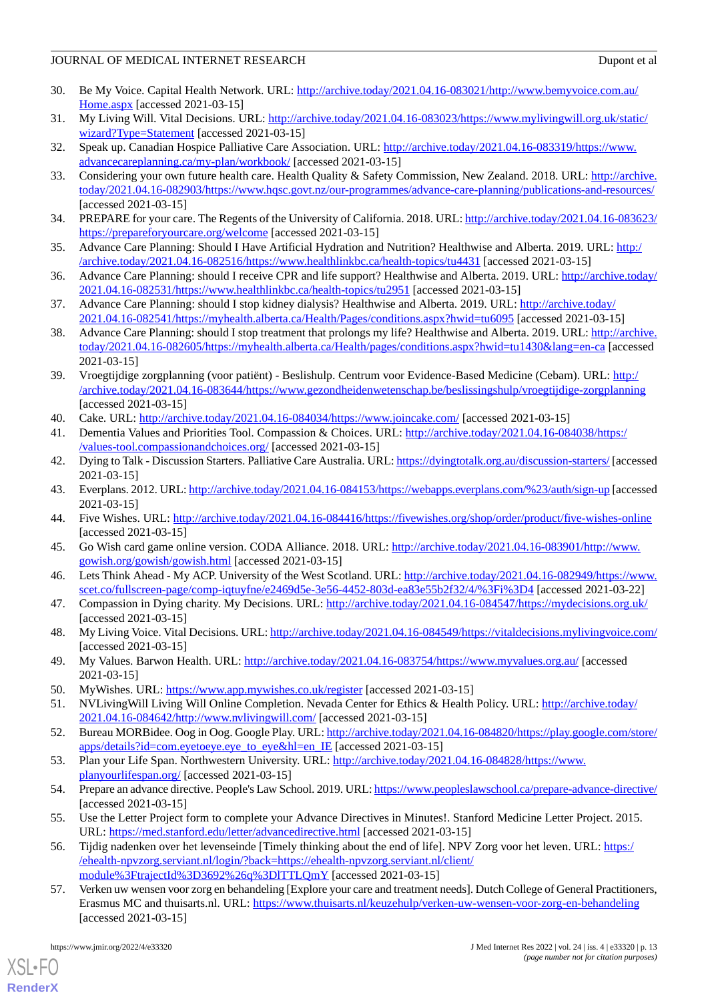- 30. Be My Voice. Capital Health Network. URL: [http://archive.today/2021.04.16-083021/http://www.bemyvoice.com.au/](http://archive.today/2021.04.16-083021/http://www.bemyvoice.com.au/Home.aspx) [Home.aspx](http://archive.today/2021.04.16-083021/http://www.bemyvoice.com.au/Home.aspx) [accessed 2021-03-15]
- 31. My Living Will. Vital Decisions. URL: [http://archive.today/2021.04.16-083023/https://www.mylivingwill.org.uk/static/](http://archive.today/2021.04.16-083023/https://www.mylivingwill.org.uk/static/wizard?Type=Statement) [wizard?Type=Statement](http://archive.today/2021.04.16-083023/https://www.mylivingwill.org.uk/static/wizard?Type=Statement) [accessed 2021-03-15]
- <span id="page-12-1"></span>32. Speak up. Canadian Hospice Palliative Care Association. URL: [http://archive.today/2021.04.16-083319/https://www.](http://archive.today/2021.04.16-083319/https://www.advancecareplanning.ca/my-plan/workbook/) [advancecareplanning.ca/my-plan/workbook/](http://archive.today/2021.04.16-083319/https://www.advancecareplanning.ca/my-plan/workbook/) [accessed 2021-03-15]
- 33. Considering your own future health care. Health Quality & Safety Commission, New Zealand. 2018. URL: [http://archive.](http://archive.today/2021.04.16-082903/https://www.hqsc.govt.nz/our-programmes/advance-care-planning/publications-and-resources/) [today/2021.04.16-082903/https://www.hqsc.govt.nz/our-programmes/advance-care-planning/publications-and-resources/](http://archive.today/2021.04.16-082903/https://www.hqsc.govt.nz/our-programmes/advance-care-planning/publications-and-resources/) [accessed 2021-03-15]
- <span id="page-12-2"></span>34. PREPARE for your care. The Regents of the University of California. 2018. URL: [http://archive.today/2021.04.16-083623/](http://archive.today/2021.04.16-083623/https://prepareforyourcare.org/welcome) [https://prepareforyourcare.org/welcome](http://archive.today/2021.04.16-083623/https://prepareforyourcare.org/welcome) [accessed 2021-03-15]
- 35. Advance Care Planning: Should I Have Artificial Hydration and Nutrition? Healthwise and Alberta. 2019. URL: [http:/](http://archive.today/2021.04.16-082516/https://www.healthlinkbc.ca/health-topics/tu4431) [/archive.today/2021.04.16-082516/https://www.healthlinkbc.ca/health-topics/tu4431](http://archive.today/2021.04.16-082516/https://www.healthlinkbc.ca/health-topics/tu4431) [accessed 2021-03-15]
- 36. Advance Care Planning: should I receive CPR and life support? Healthwise and Alberta. 2019. URL: [http://archive.today/](http://archive.today/2021.04.16-082531/https://www.healthlinkbc.ca/health-topics/tu2951) [2021.04.16-082531/https://www.healthlinkbc.ca/health-topics/tu2951](http://archive.today/2021.04.16-082531/https://www.healthlinkbc.ca/health-topics/tu2951) [accessed 2021-03-15]
- 37. Advance Care Planning: should I stop kidney dialysis? Healthwise and Alberta. 2019. URL: [http://archive.today/](http://archive.today/2021.04.16-082541/https://myhealth.alberta.ca/Health/Pages/conditions.aspx?hwid=tu6095) [2021.04.16-082541/https://myhealth.alberta.ca/Health/Pages/conditions.aspx?hwid=tu6095](http://archive.today/2021.04.16-082541/https://myhealth.alberta.ca/Health/Pages/conditions.aspx?hwid=tu6095) [accessed 2021-03-15]
- 38. Advance Care Planning: should I stop treatment that prolongs my life? Healthwise and Alberta. 2019. URL: [http://archive.](http://archive.today/2021.04.16-082605/https://myhealth.alberta.ca/Health/pages/conditions.aspx?hwid=tu1430&lang=en-ca) [today/2021.04.16-082605/https://myhealth.alberta.ca/Health/pages/conditions.aspx?hwid=tu1430&lang=en-ca](http://archive.today/2021.04.16-082605/https://myhealth.alberta.ca/Health/pages/conditions.aspx?hwid=tu1430&lang=en-ca) [accessed 2021-03-15]
- 39. Vroegtijdige zorgplanning (voor patiënt) Beslishulp. Centrum voor Evidence-Based Medicine (Cebam). URL: [http:/](http://archive.today/2021.04.16-083644/https://www.gezondheidenwetenschap.be/beslissingshulp/vroegtijdige-zorgplanning) [/archive.today/2021.04.16-083644/https://www.gezondheidenwetenschap.be/beslissingshulp/vroegtijdige-zorgplanning](http://archive.today/2021.04.16-083644/https://www.gezondheidenwetenschap.be/beslissingshulp/vroegtijdige-zorgplanning) [accessed 2021-03-15]
- 40. Cake. URL:<http://archive.today/2021.04.16-084034/https://www.joincake.com/> [accessed 2021-03-15]
- 41. Dementia Values and Priorities Tool. Compassion & Choices. URL: [http://archive.today/2021.04.16-084038/https:/](http://archive.today/2021.04.16-084038/https://values-tool.compassionandchoices.org/) [/values-tool.compassionandchoices.org/](http://archive.today/2021.04.16-084038/https://values-tool.compassionandchoices.org/) [accessed 2021-03-15]
- <span id="page-12-3"></span>42. Dying to Talk - Discussion Starters. Palliative Care Australia. URL:<https://dyingtotalk.org.au/discussion-starters/> [accessed] 2021-03-15]
- <span id="page-12-5"></span>43. Everplans. 2012. URL:<http://archive.today/2021.04.16-084153/https://webapps.everplans.com/%23/auth/sign-up> [accessed 2021-03-15]
- <span id="page-12-4"></span>44. Five Wishes. URL: <http://archive.today/2021.04.16-084416/https://fivewishes.org/shop/order/product/five-wishes-online> [accessed 2021-03-15]
- 45. Go Wish card game online version. CODA Alliance. 2018. URL: [http://archive.today/2021.04.16-083901/http://www.](http://archive.today/2021.04.16-083901/http://www.gowish.org/gowish/gowish.html) [gowish.org/gowish/gowish.html](http://archive.today/2021.04.16-083901/http://www.gowish.org/gowish/gowish.html) [accessed 2021-03-15]
- 46. Lets Think Ahead My ACP. University of the West Scotland. URL: [http://archive.today/2021.04.16-082949/https://www.](http://archive.today/2021.04.16-082949/https://www.scet.co/fullscreen-page/comp-iqtuyfne/e2469d5e-3e56-4452-803d-ea83e55b2f32/4/%3Fi%3D4) [scet.co/fullscreen-page/comp-iqtuyfne/e2469d5e-3e56-4452-803d-ea83e55b2f32/4/%3Fi%3D4](http://archive.today/2021.04.16-082949/https://www.scet.co/fullscreen-page/comp-iqtuyfne/e2469d5e-3e56-4452-803d-ea83e55b2f32/4/%3Fi%3D4) [accessed 2021-03-22]
- <span id="page-12-6"></span>47. Compassion in Dying charity. My Decisions. URL:<http://archive.today/2021.04.16-084547/https://mydecisions.org.uk/> [accessed 2021-03-15]
- <span id="page-12-7"></span>48. My Living Voice. Vital Decisions. URL:<http://archive.today/2021.04.16-084549/https://vitaldecisions.mylivingvoice.com/> [accessed 2021-03-15]
- 49. My Values. Barwon Health. URL: <http://archive.today/2021.04.16-083754/https://www.myvalues.org.au/> [accessed 2021-03-15]
- <span id="page-12-8"></span>50. MyWishes. URL: <https://www.app.mywishes.co.uk/register> [accessed 2021-03-15]
- 51. NVLivingWill Living Will Online Completion. Nevada Center for Ethics & Health Policy. URL: [http://archive.today/](http://archive.today/2021.04.16-084642/http://www.nvlivingwill.com/) [2021.04.16-084642/http://www.nvlivingwill.com/](http://archive.today/2021.04.16-084642/http://www.nvlivingwill.com/) [accessed 2021-03-15]
- <span id="page-12-9"></span>52. Bureau MORBidee. Oog in Oog. Google Play. URL: [http://archive.today/2021.04.16-084820/https://play.google.com/store/](http://archive.today/2021.04.16-084820/https://play.google.com/store/apps/details?id=com.eyetoeye.eye_to_eye&hl=en_IE) [apps/details?id=com.eyetoeye.eye\\_to\\_eye&hl=en\\_IE](http://archive.today/2021.04.16-084820/https://play.google.com/store/apps/details?id=com.eyetoeye.eye_to_eye&hl=en_IE) [accessed 2021-03-15]
- 53. Plan your Life Span. Northwestern University. URL: [http://archive.today/2021.04.16-084828/https://www.](http://archive.today/2021.04.16-084828/https://www.planyourlifespan.org/) [planyourlifespan.org/](http://archive.today/2021.04.16-084828/https://www.planyourlifespan.org/) [accessed 2021-03-15]
- <span id="page-12-0"></span>54. Prepare an advance directive. People's Law School. 2019. URL:<https://www.peopleslawschool.ca/prepare-advance-directive/> [accessed 2021-03-15]
- 55. Use the Letter Project form to complete your Advance Directives in Minutes!. Stanford Medicine Letter Project. 2015. URL: <https://med.stanford.edu/letter/advancedirective.html> [accessed 2021-03-15]
- 56. Tijdig nadenken over het levenseinde [Timely thinking about the end of life]. NPV Zorg voor het leven. URL: [https:/](https://ehealth-npvzorg.serviant.nl/login/?back=https://ehealth-npvzorg.serviant.nl/client/module%3FtrajectId%3D3692%26q%3DlTTLQmY) [/ehealth-npvzorg.serviant.nl/login/?back=https://ehealth-npvzorg.serviant.nl/client/](https://ehealth-npvzorg.serviant.nl/login/?back=https://ehealth-npvzorg.serviant.nl/client/module%3FtrajectId%3D3692%26q%3DlTTLQmY) [module%3FtrajectId%3D3692%26q%3DlTTLQmY](https://ehealth-npvzorg.serviant.nl/login/?back=https://ehealth-npvzorg.serviant.nl/client/module%3FtrajectId%3D3692%26q%3DlTTLQmY) [accessed 2021-03-15]
- 57. Verken uw wensen voor zorg en behandeling [Explore your care and treatment needs]. Dutch College of General Practitioners, Erasmus MC and thuisarts.nl. URL: <https://www.thuisarts.nl/keuzehulp/verken-uw-wensen-voor-zorg-en-behandeling> [accessed 2021-03-15]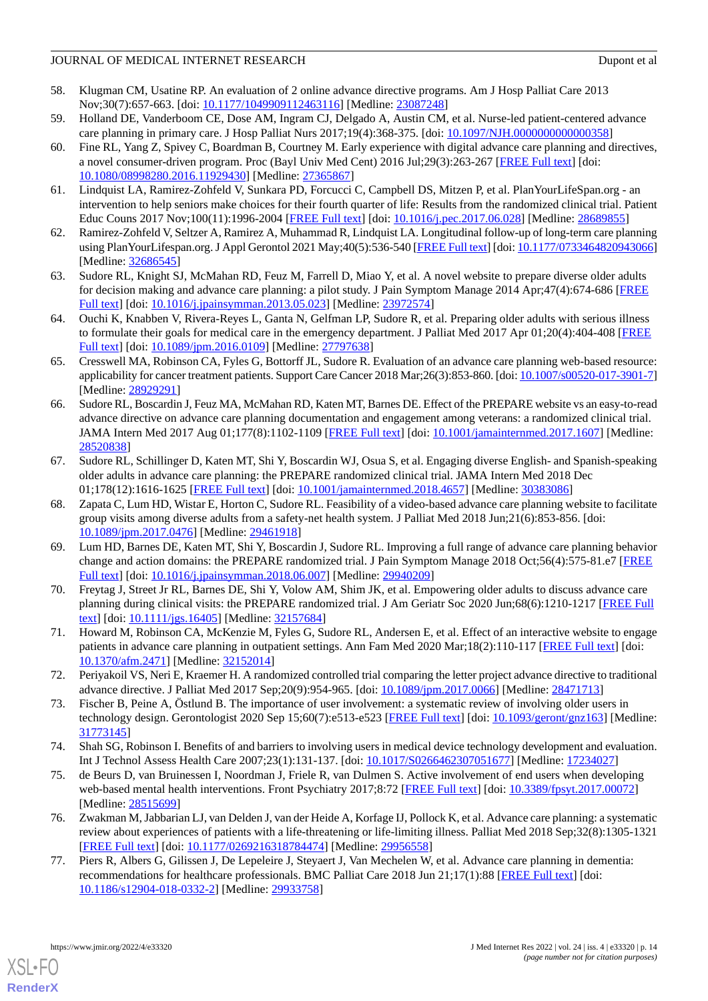- <span id="page-13-0"></span>58. Klugman CM, Usatine RP. An evaluation of 2 online advance directive programs. Am J Hosp Palliat Care 2013 Nov;30(7):657-663. [doi: [10.1177/1049909112463116\]](http://dx.doi.org/10.1177/1049909112463116) [Medline: [23087248\]](http://www.ncbi.nlm.nih.gov/entrez/query.fcgi?cmd=Retrieve&db=PubMed&list_uids=23087248&dopt=Abstract)
- <span id="page-13-6"></span><span id="page-13-1"></span>59. Holland DE, Vanderboom CE, Dose AM, Ingram CJ, Delgado A, Austin CM, et al. Nurse-led patient-centered advance care planning in primary care. J Hosp Palliat Nurs 2017;19(4):368-375. [doi: [10.1097/NJH.0000000000000358](http://dx.doi.org/10.1097/NJH.0000000000000358)]
- 60. Fine RL, Yang Z, Spivey C, Boardman B, Courtney M. Early experience with digital advance care planning and directives, a novel consumer-driven program. Proc (Bayl Univ Med Cent) 2016 Jul;29(3):263-267 [\[FREE Full text\]](http://europepmc.org/abstract/MED/27365867) [doi: [10.1080/08998280.2016.11929430\]](http://dx.doi.org/10.1080/08998280.2016.11929430) [Medline: [27365867\]](http://www.ncbi.nlm.nih.gov/entrez/query.fcgi?cmd=Retrieve&db=PubMed&list_uids=27365867&dopt=Abstract)
- <span id="page-13-7"></span><span id="page-13-2"></span>61. Lindquist LA, Ramirez-Zohfeld V, Sunkara PD, Forcucci C, Campbell DS, Mitzen P, et al. PlanYourLifeSpan.org - an intervention to help seniors make choices for their fourth quarter of life: Results from the randomized clinical trial. Patient Educ Couns 2017 Nov;100(11):1996-2004 [[FREE Full text](http://europepmc.org/abstract/MED/28689855)] [doi: [10.1016/j.pec.2017.06.028](http://dx.doi.org/10.1016/j.pec.2017.06.028)] [Medline: [28689855\]](http://www.ncbi.nlm.nih.gov/entrez/query.fcgi?cmd=Retrieve&db=PubMed&list_uids=28689855&dopt=Abstract)
- <span id="page-13-4"></span>62. Ramirez-Zohfeld V, Seltzer A, Ramirez A, Muhammad R, Lindquist LA. Longitudinal follow-up of long-term care planning using PlanYourLifespan.org. J Appl Gerontol 2021 May;40(5):536-540 [[FREE Full text\]](http://europepmc.org/abstract/MED/32686545) [doi: [10.1177/0733464820943066\]](http://dx.doi.org/10.1177/0733464820943066) [Medline: [32686545](http://www.ncbi.nlm.nih.gov/entrez/query.fcgi?cmd=Retrieve&db=PubMed&list_uids=32686545&dopt=Abstract)]
- <span id="page-13-14"></span>63. Sudore RL, Knight SJ, McMahan RD, Feuz M, Farrell D, Miao Y, et al. A novel website to prepare diverse older adults for decision making and advance care planning: a pilot study. J Pain Symptom Manage 2014 Apr;47(4):674-686 [\[FREE](https://linkinghub.elsevier.com/retrieve/pii/S0885-3924(13)00386-2) [Full text\]](https://linkinghub.elsevier.com/retrieve/pii/S0885-3924(13)00386-2) [doi: [10.1016/j.jpainsymman.2013.05.023](http://dx.doi.org/10.1016/j.jpainsymman.2013.05.023)] [Medline: [23972574\]](http://www.ncbi.nlm.nih.gov/entrez/query.fcgi?cmd=Retrieve&db=PubMed&list_uids=23972574&dopt=Abstract)
- <span id="page-13-13"></span>64. Ouchi K, Knabben V, Rivera-Reyes L, Ganta N, Gelfman LP, Sudore R, et al. Preparing older adults with serious illness to formulate their goals for medical care in the emergency department. J Palliat Med 2017 Apr 01;20(4):404-408 [\[FREE](http://europepmc.org/abstract/MED/27797638) [Full text\]](http://europepmc.org/abstract/MED/27797638) [doi: [10.1089/jpm.2016.0109](http://dx.doi.org/10.1089/jpm.2016.0109)] [Medline: [27797638\]](http://www.ncbi.nlm.nih.gov/entrez/query.fcgi?cmd=Retrieve&db=PubMed&list_uids=27797638&dopt=Abstract)
- <span id="page-13-12"></span>65. Cresswell MA, Robinson CA, Fyles G, Bottorff JL, Sudore R. Evaluation of an advance care planning web-based resource: applicability for cancer treatment patients. Support Care Cancer 2018 Mar;26(3):853-860. [doi: [10.1007/s00520-017-3901-7\]](http://dx.doi.org/10.1007/s00520-017-3901-7) [Medline: [28929291](http://www.ncbi.nlm.nih.gov/entrez/query.fcgi?cmd=Retrieve&db=PubMed&list_uids=28929291&dopt=Abstract)]
- <span id="page-13-11"></span>66. Sudore RL, Boscardin J, Feuz MA, McMahan RD, Katen MT, Barnes DE. Effect of the PREPARE website vs an easy-to-read advance directive on advance care planning documentation and engagement among veterans: a randomized clinical trial. JAMA Intern Med 2017 Aug 01;177(8):1102-1109 [\[FREE Full text\]](http://europepmc.org/abstract/MED/28520838) [doi: [10.1001/jamainternmed.2017.1607](http://dx.doi.org/10.1001/jamainternmed.2017.1607)] [Medline: [28520838](http://www.ncbi.nlm.nih.gov/entrez/query.fcgi?cmd=Retrieve&db=PubMed&list_uids=28520838&dopt=Abstract)]
- <span id="page-13-10"></span>67. Sudore RL, Schillinger D, Katen MT, Shi Y, Boscardin WJ, Osua S, et al. Engaging diverse English- and Spanish-speaking older adults in advance care planning: the PREPARE randomized clinical trial. JAMA Intern Med 2018 Dec 01;178(12):1616-1625 [[FREE Full text](http://europepmc.org/abstract/MED/30383086)] [doi: [10.1001/jamainternmed.2018.4657\]](http://dx.doi.org/10.1001/jamainternmed.2018.4657) [Medline: [30383086\]](http://www.ncbi.nlm.nih.gov/entrez/query.fcgi?cmd=Retrieve&db=PubMed&list_uids=30383086&dopt=Abstract)
- <span id="page-13-9"></span>68. Zapata C, Lum HD, Wistar E, Horton C, Sudore RL. Feasibility of a video-based advance care planning website to facilitate group visits among diverse adults from a safety-net health system. J Palliat Med 2018 Jun;21(6):853-856. [doi: [10.1089/jpm.2017.0476](http://dx.doi.org/10.1089/jpm.2017.0476)] [Medline: [29461918](http://www.ncbi.nlm.nih.gov/entrez/query.fcgi?cmd=Retrieve&db=PubMed&list_uids=29461918&dopt=Abstract)]
- <span id="page-13-8"></span>69. Lum HD, Barnes DE, Katen MT, Shi Y, Boscardin J, Sudore RL. Improving a full range of advance care planning behavior change and action domains: the PREPARE randomized trial. J Pain Symptom Manage 2018 Oct;56(4):575-81.e7 [\[FREE](https://linkinghub.elsevier.com/retrieve/pii/S0885-3924(18)30312-9) [Full text\]](https://linkinghub.elsevier.com/retrieve/pii/S0885-3924(18)30312-9) [doi: [10.1016/j.jpainsymman.2018.06.007](http://dx.doi.org/10.1016/j.jpainsymman.2018.06.007)] [Medline: [29940209\]](http://www.ncbi.nlm.nih.gov/entrez/query.fcgi?cmd=Retrieve&db=PubMed&list_uids=29940209&dopt=Abstract)
- <span id="page-13-5"></span><span id="page-13-3"></span>70. Freytag J, Street Jr RL, Barnes DE, Shi Y, Volow AM, Shim JK, et al. Empowering older adults to discuss advance care planning during clinical visits: the PREPARE randomized trial. J Am Geriatr Soc 2020 Jun;68(6):1210-1217 [[FREE Full](http://europepmc.org/abstract/MED/32157684) [text](http://europepmc.org/abstract/MED/32157684)] [doi: [10.1111/jgs.16405](http://dx.doi.org/10.1111/jgs.16405)] [Medline: [32157684\]](http://www.ncbi.nlm.nih.gov/entrez/query.fcgi?cmd=Retrieve&db=PubMed&list_uids=32157684&dopt=Abstract)
- <span id="page-13-15"></span>71. Howard M, Robinson CA, McKenzie M, Fyles G, Sudore RL, Andersen E, et al. Effect of an interactive website to engage patients in advance care planning in outpatient settings. Ann Fam Med 2020 Mar;18(2):110-117 [[FREE Full text](http://www.annfammed.org/cgi/pmidlookup?view=long&pmid=32152014)] [doi: [10.1370/afm.2471\]](http://dx.doi.org/10.1370/afm.2471) [Medline: [32152014\]](http://www.ncbi.nlm.nih.gov/entrez/query.fcgi?cmd=Retrieve&db=PubMed&list_uids=32152014&dopt=Abstract)
- 72. Periyakoil VS, Neri E, Kraemer H. A randomized controlled trial comparing the letter project advance directive to traditional advance directive. J Palliat Med 2017 Sep;20(9):954-965. [doi: [10.1089/jpm.2017.0066](http://dx.doi.org/10.1089/jpm.2017.0066)] [Medline: [28471713](http://www.ncbi.nlm.nih.gov/entrez/query.fcgi?cmd=Retrieve&db=PubMed&list_uids=28471713&dopt=Abstract)]
- <span id="page-13-16"></span>73. Fischer B, Peine A, Östlund B. The importance of user involvement: a systematic review of involving older users in technology design. Gerontologist 2020 Sep 15;60(7):e513-e523 [\[FREE Full text](http://europepmc.org/abstract/MED/31773145)] [doi: [10.1093/geront/gnz163\]](http://dx.doi.org/10.1093/geront/gnz163) [Medline: [31773145](http://www.ncbi.nlm.nih.gov/entrez/query.fcgi?cmd=Retrieve&db=PubMed&list_uids=31773145&dopt=Abstract)]
- <span id="page-13-17"></span>74. Shah SG, Robinson I. Benefits of and barriers to involving users in medical device technology development and evaluation. Int J Technol Assess Health Care 2007;23(1):131-137. [doi: [10.1017/S0266462307051677](http://dx.doi.org/10.1017/S0266462307051677)] [Medline: [17234027\]](http://www.ncbi.nlm.nih.gov/entrez/query.fcgi?cmd=Retrieve&db=PubMed&list_uids=17234027&dopt=Abstract)
- <span id="page-13-18"></span>75. de Beurs D, van Bruinessen I, Noordman J, Friele R, van Dulmen S. Active involvement of end users when developing web-based mental health interventions. Front Psychiatry 2017;8:72 [[FREE Full text](https://doi.org/10.3389/fpsyt.2017.00072)] [doi: [10.3389/fpsyt.2017.00072\]](http://dx.doi.org/10.3389/fpsyt.2017.00072) [Medline: [28515699](http://www.ncbi.nlm.nih.gov/entrez/query.fcgi?cmd=Retrieve&db=PubMed&list_uids=28515699&dopt=Abstract)]
- 76. Zwakman M, Jabbarian LJ, van Delden J, van der Heide A, Korfage IJ, Pollock K, et al. Advance care planning: a systematic review about experiences of patients with a life-threatening or life-limiting illness. Palliat Med 2018 Sep;32(8):1305-1321 [[FREE Full text](https://journals.sagepub.com/doi/10.1177/0269216318784474?url_ver=Z39.88-2003&rfr_id=ori:rid:crossref.org&rfr_dat=cr_pub%3dpubmed)] [doi: [10.1177/0269216318784474\]](http://dx.doi.org/10.1177/0269216318784474) [Medline: [29956558](http://www.ncbi.nlm.nih.gov/entrez/query.fcgi?cmd=Retrieve&db=PubMed&list_uids=29956558&dopt=Abstract)]
- 77. Piers R, Albers G, Gilissen J, De Lepeleire J, Steyaert J, Van Mechelen W, et al. Advance care planning in dementia: recommendations for healthcare professionals. BMC Palliat Care 2018 Jun 21;17(1):88 [[FREE Full text](https://bmcpalliatcare.biomedcentral.com/articles/10.1186/s12904-018-0332-2)] [doi: [10.1186/s12904-018-0332-2\]](http://dx.doi.org/10.1186/s12904-018-0332-2) [Medline: [29933758](http://www.ncbi.nlm.nih.gov/entrez/query.fcgi?cmd=Retrieve&db=PubMed&list_uids=29933758&dopt=Abstract)]